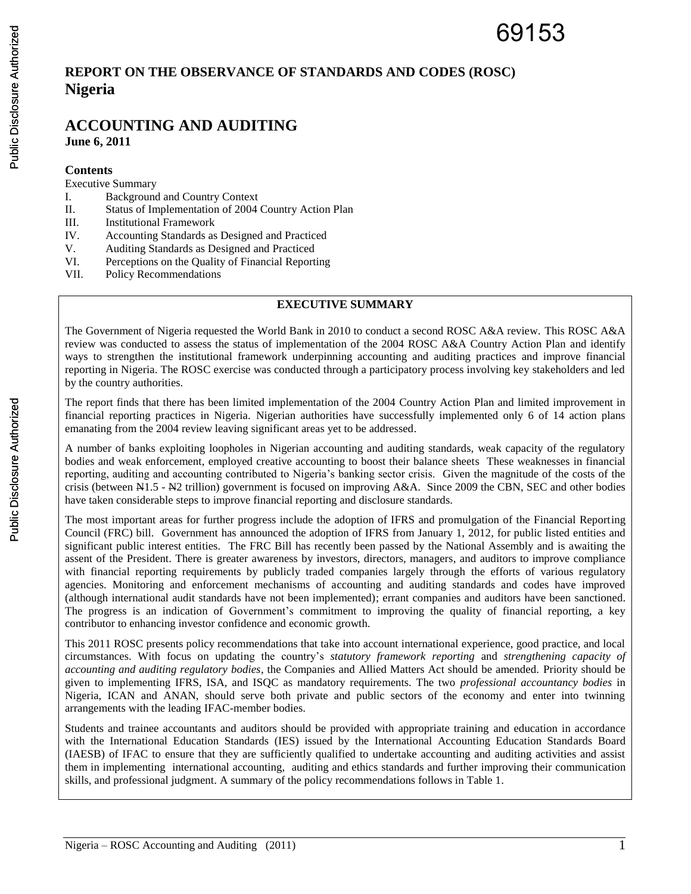# **REPORT ON THE OBSERVANCE OF STANDARDS AND CODES (ROSC) Nigeria**

### **ACCOUNTING AND AUDITING June 6, 2011**

#### **Contents**

#### Executive Summary

- I. Background and Country Context
- II. Status of Implementation of 2004 Country Action Plan
- III. Institutional Framework
- IV. Accounting Standards as Designed and Practiced
- V. Auditing Standards as Designed and Practiced
- VI. Perceptions on the Quality of Financial Reporting
- VII. Policy Recommendations

#### **EXECUTIVE SUMMARY**

The Government of Nigeria requested the World Bank in 2010 to conduct a second ROSC A&A review. This ROSC A&A review was conducted to assess the status of implementation of the 2004 ROSC A&A Country Action Plan and identify ways to strengthen the institutional framework underpinning accounting and auditing practices and improve financial reporting in Nigeria. The ROSC exercise was conducted through a participatory process involving key stakeholders and led by the country authorities.

The report finds that there has been limited implementation of the 2004 Country Action Plan and limited improvement in financial reporting practices in Nigeria. Nigerian authorities have successfully implemented only 6 of 14 action plans emanating from the 2004 review leaving significant areas yet to be addressed.

A number of banks exploiting loopholes in Nigerian accounting and auditing standards, weak capacity of the regulatory bodies and weak enforcement, employed creative accounting to boost their balance sheets These weaknesses in financial reporting, auditing and accounting contributed to Nigeria's banking sector crisis. Given the magnitude of the costs of the crisis (between N1.5 - N2 trillion) government is focused on improving A&A. Since 2009 the CBN, SEC and other bodies have taken considerable steps to improve financial reporting and disclosure standards.

The most important areas for further progress include the adoption of IFRS and promulgation of the Financial Reporting Council (FRC) bill.Government has announced the adoption of IFRS from January 1, 2012, for public listed entities and significant public interest entities. The FRC Bill has recently been passed by the National Assembly and is awaiting the assent of the President. There is greater awareness by investors, directors, managers, and auditors to improve compliance with financial reporting requirements by publicly traded companies largely through the efforts of various regulatory agencies. Monitoring and enforcement mechanisms of accounting and auditing standards and codes have improved (although international audit standards have not been implemented); errant companies and auditors have been sanctioned. The progress is an indication of Government's commitment to improving the quality of financial reporting, a key contributor to enhancing investor confidence and economic growth.

This 2011 ROSC presents policy recommendations that take into account international experience, good practice, and local circumstances. With focus on updating the country's *statutory framework reporting* and *strengthening capacity of accounting and auditing regulatory bodies*, the Companies and Allied Matters Act should be amended. Priority should be given to implementing IFRS, ISA, and ISQC as mandatory requirements. The two *professional accountancy bodies* in Nigeria, ICAN and ANAN, should serve both private and public sectors of the economy and enter into twinning arrangements with the leading IFAC-member bodies.

Students and trainee accountants and auditors should be provided with appropriate training and education in accordance with the International Education Standards (IES) issued by the International Accounting Education Standards Board (IAESB) of IFAC to ensure that they are sufficiently qualified to undertake accounting and auditing activities and assist them in implementing international accounting, auditing and ethics standards and further improving their communication skills, and professional judgment. A summary of the policy recommendations follows in Table 1.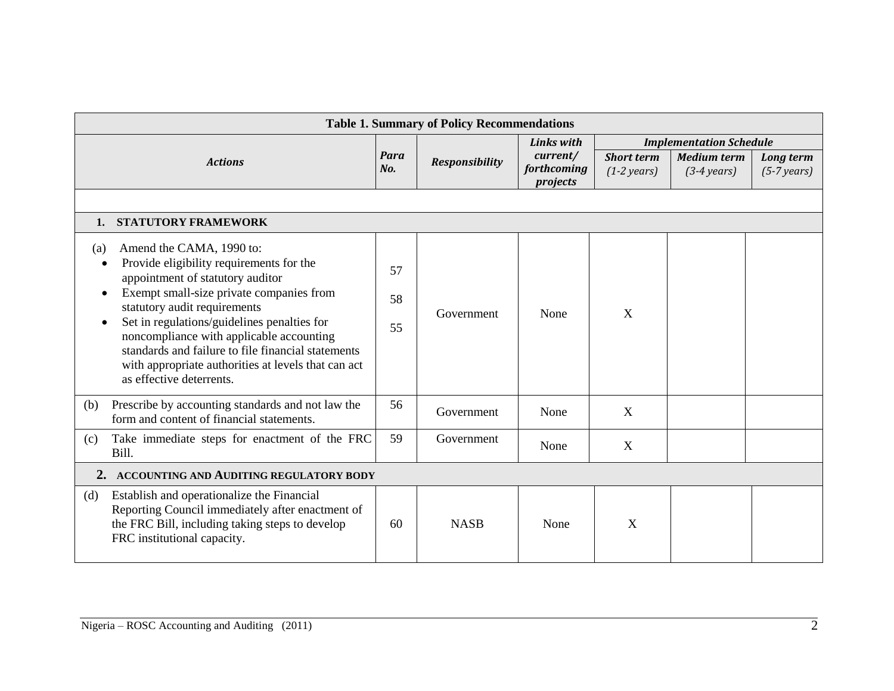| <b>Table 1. Summary of Policy Recommendations</b>                                                                                                                                                                                                                                                                                                                                                                               |                |                                                     |                               |                                            |                                             |                            |
|---------------------------------------------------------------------------------------------------------------------------------------------------------------------------------------------------------------------------------------------------------------------------------------------------------------------------------------------------------------------------------------------------------------------------------|----------------|-----------------------------------------------------|-------------------------------|--------------------------------------------|---------------------------------------------|----------------------------|
|                                                                                                                                                                                                                                                                                                                                                                                                                                 |                |                                                     | <b>Links with</b><br>current/ | <b>Implementation Schedule</b>             |                                             |                            |
| <b>Actions</b>                                                                                                                                                                                                                                                                                                                                                                                                                  |                | Para<br><b>Responsibility</b><br>forthcoming<br>No. |                               | <b>Short term</b><br>$(1-2 \text{ years})$ | <b>Medium term</b><br>$(3-4 \text{ years})$ | Long term<br>$(5-7 years)$ |
|                                                                                                                                                                                                                                                                                                                                                                                                                                 |                |                                                     |                               |                                            |                                             |                            |
| 1. STATUTORY FRAMEWORK                                                                                                                                                                                                                                                                                                                                                                                                          |                |                                                     |                               |                                            |                                             |                            |
| Amend the CAMA, 1990 to:<br>(a)<br>Provide eligibility requirements for the<br>appointment of statutory auditor<br>Exempt small-size private companies from<br>statutory audit requirements<br>Set in regulations/guidelines penalties for<br>noncompliance with applicable accounting<br>standards and failure to file financial statements<br>with appropriate authorities at levels that can act<br>as effective deterrents. | 57<br>58<br>55 | Government                                          | None                          | X                                          |                                             |                            |
| Prescribe by accounting standards and not law the<br>(b)<br>form and content of financial statements.                                                                                                                                                                                                                                                                                                                           | 56             | Government                                          | None                          | $\mathbf X$                                |                                             |                            |
| Take immediate steps for enactment of the FRC<br>(c)<br>Bill.                                                                                                                                                                                                                                                                                                                                                                   | 59             | Government                                          | None                          | X                                          |                                             |                            |
| 2. ACCOUNTING AND AUDITING REGULATORY BODY                                                                                                                                                                                                                                                                                                                                                                                      |                |                                                     |                               |                                            |                                             |                            |
| Establish and operationalize the Financial<br>(d)<br>Reporting Council immediately after enactment of<br>the FRC Bill, including taking steps to develop<br>FRC institutional capacity.                                                                                                                                                                                                                                         | 60             | <b>NASB</b>                                         | None                          | X                                          |                                             |                            |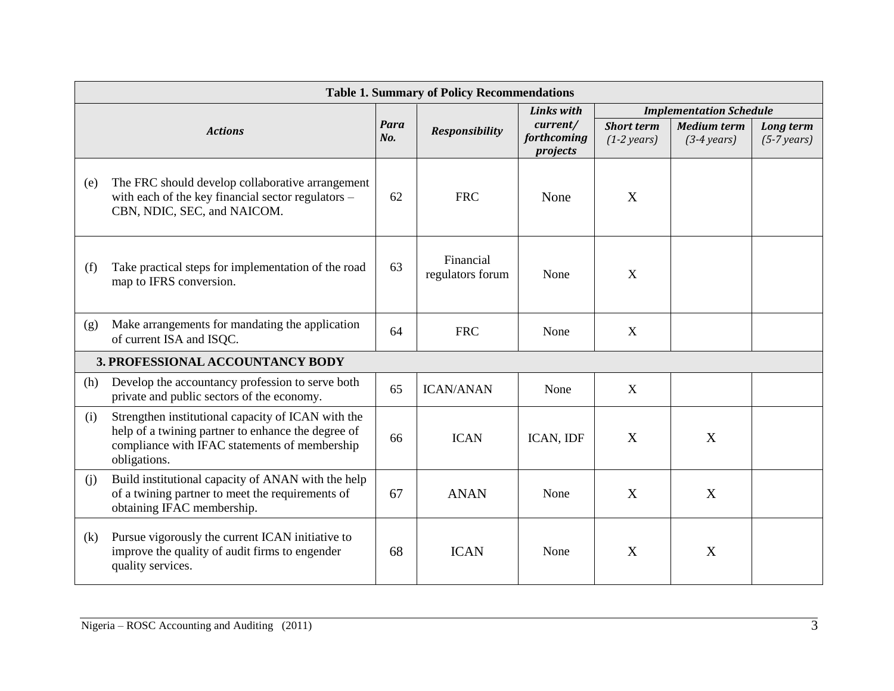|     | <b>Table 1. Summary of Policy Recommendations</b>                                                                                                                         |                |                               |                                     |                                            |                                             |                            |
|-----|---------------------------------------------------------------------------------------------------------------------------------------------------------------------------|----------------|-------------------------------|-------------------------------------|--------------------------------------------|---------------------------------------------|----------------------------|
|     |                                                                                                                                                                           |                |                               | <b>Links with</b>                   |                                            | <b>Implementation Schedule</b>              |                            |
|     | <b>Actions</b>                                                                                                                                                            | Para<br>$N0$ . | <b>Responsibility</b>         | current/<br>forthcoming<br>projects | <b>Short term</b><br>$(1-2 \text{ years})$ | <b>Medium term</b><br>$(3-4 \text{ years})$ | Long term<br>$(5-7 years)$ |
| (e) | The FRC should develop collaborative arrangement<br>with each of the key financial sector regulators -<br>CBN, NDIC, SEC, and NAICOM.                                     | 62             | <b>FRC</b>                    | None                                | X                                          |                                             |                            |
| (f) | Take practical steps for implementation of the road<br>map to IFRS conversion.                                                                                            | 63             | Financial<br>regulators forum | None                                | X                                          |                                             |                            |
| (g) | Make arrangements for mandating the application<br>of current ISA and ISQC.                                                                                               | 64             | <b>FRC</b>                    | None                                | X                                          |                                             |                            |
|     | 3. PROFESSIONAL ACCOUNTANCY BODY                                                                                                                                          |                |                               |                                     |                                            |                                             |                            |
| (h) | Develop the accountancy profession to serve both<br>private and public sectors of the economy.                                                                            | 65             | <b>ICAN/ANAN</b>              | None                                | X                                          |                                             |                            |
| (i) | Strengthen institutional capacity of ICAN with the<br>help of a twining partner to enhance the degree of<br>compliance with IFAC statements of membership<br>obligations. | 66             | <b>ICAN</b>                   | ICAN, IDF                           | X                                          | X                                           |                            |
| (i) | Build institutional capacity of ANAN with the help<br>of a twining partner to meet the requirements of<br>obtaining IFAC membership.                                      | 67             | <b>ANAN</b>                   | None                                | X                                          | X                                           |                            |
| (k) | Pursue vigorously the current ICAN initiative to<br>improve the quality of audit firms to engender<br>quality services.                                                   | 68             | <b>ICAN</b>                   | None                                | X                                          | X                                           |                            |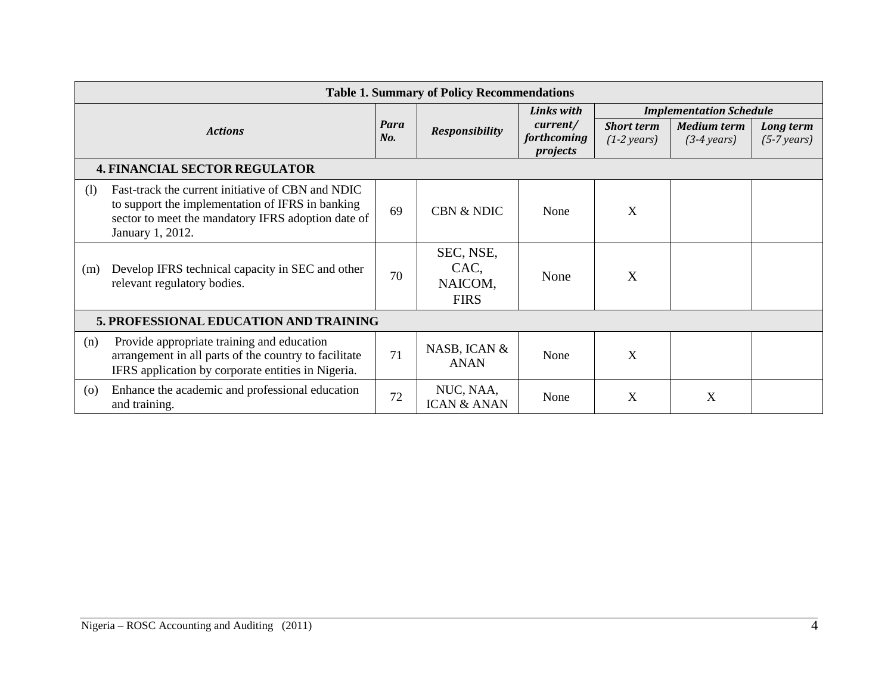| <b>Table 1. Summary of Policy Recommendations</b> |                                                                                                                                                                                 |             |                                             |                                     |                                            |                                             |                            |
|---------------------------------------------------|---------------------------------------------------------------------------------------------------------------------------------------------------------------------------------|-------------|---------------------------------------------|-------------------------------------|--------------------------------------------|---------------------------------------------|----------------------------|
| <b>Actions</b>                                    |                                                                                                                                                                                 | Para<br>No. |                                             | <b>Links with</b>                   | <b>Implementation Schedule</b>             |                                             |                            |
|                                                   |                                                                                                                                                                                 |             | <b>Responsibility</b>                       | current/<br>forthcoming<br>projects | <b>Short term</b><br>$(1-2 \text{ years})$ | <b>Medium term</b><br>$(3-4 \text{ years})$ | Long term<br>$(5-7 years)$ |
|                                                   | <b>4. FINANCIAL SECTOR REGULATOR</b>                                                                                                                                            |             |                                             |                                     |                                            |                                             |                            |
| (1)                                               | Fast-track the current initiative of CBN and NDIC<br>to support the implementation of IFRS in banking<br>sector to meet the mandatory IFRS adoption date of<br>January 1, 2012. | 69          | <b>CBN &amp; NDIC</b>                       | None                                | X                                          |                                             |                            |
| (m)                                               | Develop IFRS technical capacity in SEC and other<br>relevant regulatory bodies.                                                                                                 | 70          | SEC, NSE,<br>CAC,<br>NAICOM,<br><b>FIRS</b> | None                                | X                                          |                                             |                            |
|                                                   | 5. PROFESSIONAL EDUCATION AND TRAINING                                                                                                                                          |             |                                             |                                     |                                            |                                             |                            |
| (n)                                               | Provide appropriate training and education<br>arrangement in all parts of the country to facilitate<br>IFRS application by corporate entities in Nigeria.                       | 71          | NASB, ICAN &<br><b>ANAN</b>                 | None                                | X                                          |                                             |                            |
| $\left( 0 \right)$                                | Enhance the academic and professional education<br>and training.                                                                                                                | 72          | NUC, NAA,<br><b>ICAN &amp; ANAN</b>         | None                                | X                                          | X                                           |                            |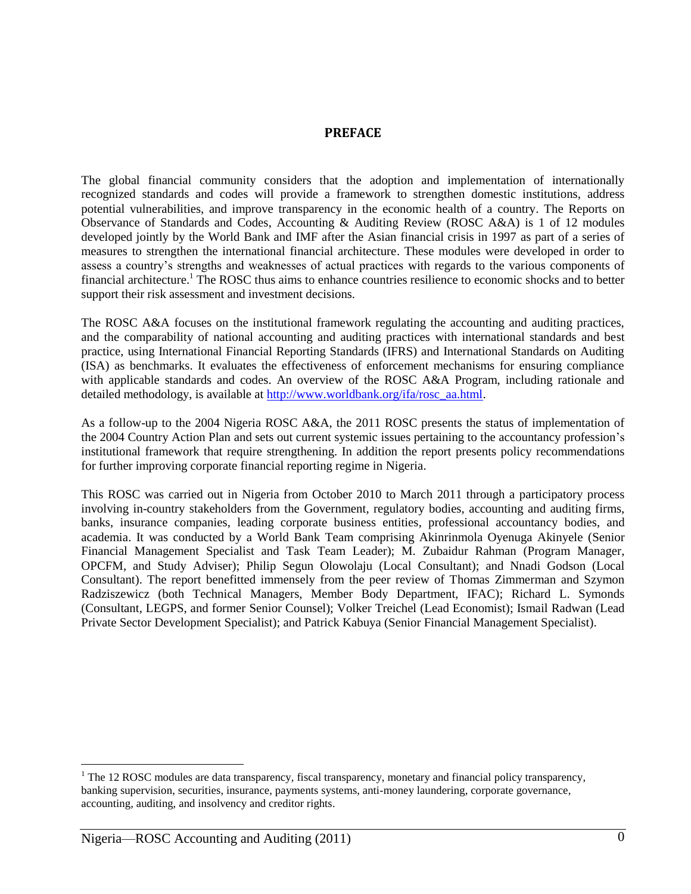#### **PREFACE**

The global financial community considers that the adoption and implementation of internationally recognized standards and codes will provide a framework to strengthen domestic institutions, address potential vulnerabilities, and improve transparency in the economic health of a country. The Reports on Observance of Standards and Codes, Accounting & Auditing Review (ROSC A&A) is 1 of 12 modules developed jointly by the World Bank and IMF after the Asian financial crisis in 1997 as part of a series of measures to strengthen the international financial architecture. These modules were developed in order to assess a country's strengths and weaknesses of actual practices with regards to the various components of financial architecture.<sup>1</sup> The ROSC thus aims to enhance countries resilience to economic shocks and to better support their risk assessment and investment decisions.

The ROSC A&A focuses on the institutional framework regulating the accounting and auditing practices, and the comparability of national accounting and auditing practices with international standards and best practice, using International Financial Reporting Standards (IFRS) and International Standards on Auditing (ISA) as benchmarks. It evaluates the effectiveness of enforcement mechanisms for ensuring compliance with applicable standards and codes. An overview of the ROSC A&A Program, including rationale and detailed methodology, is available at [http://www.worldbank.org/ifa/rosc\\_aa.html.](http://www.worldbank.org/ifa/rosc_aa.html)

As a follow-up to the 2004 Nigeria ROSC A&A, the 2011 ROSC presents the status of implementation of the 2004 Country Action Plan and sets out current systemic issues pertaining to the accountancy profession's institutional framework that require strengthening. In addition the report presents policy recommendations for further improving corporate financial reporting regime in Nigeria.

This ROSC was carried out in Nigeria from October 2010 to March 2011 through a participatory process involving in-country stakeholders from the Government, regulatory bodies, accounting and auditing firms, banks, insurance companies, leading corporate business entities, professional accountancy bodies, and academia. It was conducted by a World Bank Team comprising Akinrinmola Oyenuga Akinyele (Senior Financial Management Specialist and Task Team Leader); M. Zubaidur Rahman (Program Manager, OPCFM, and Study Adviser); Philip Segun Olowolaju (Local Consultant); and Nnadi Godson (Local Consultant). The report benefitted immensely from the peer review of Thomas Zimmerman and Szymon Radziszewicz (both Technical Managers, Member Body Department, IFAC); Richard L. Symonds (Consultant, LEGPS, and former Senior Counsel); Volker Treichel (Lead Economist); Ismail Radwan (Lead Private Sector Development Specialist); and Patrick Kabuya (Senior Financial Management Specialist).

 $\overline{a}$ 

<sup>&</sup>lt;sup>1</sup> The 12 ROSC modules are data transparency, fiscal transparency, monetary and financial policy transparency, banking supervision, securities, insurance, payments systems, anti-money laundering, corporate governance, accounting, auditing, and insolvency and creditor rights.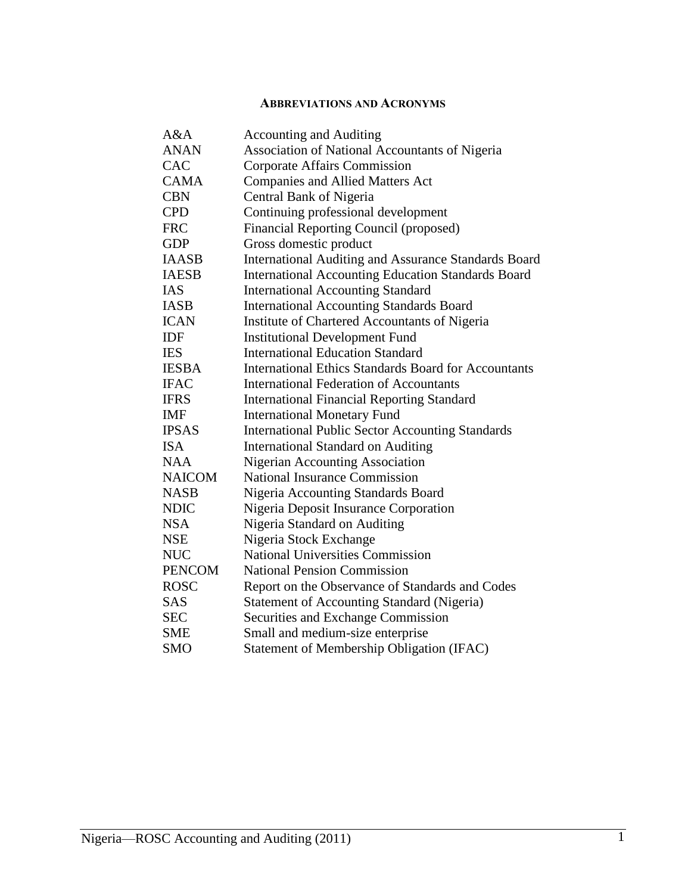### **ABBREVIATIONS AND ACRONYMS**

| A&A           | <b>Accounting and Auditing</b>                              |
|---------------|-------------------------------------------------------------|
| <b>ANAN</b>   | Association of National Accountants of Nigeria              |
| <b>CAC</b>    | Corporate Affairs Commission                                |
| <b>CAMA</b>   | <b>Companies and Allied Matters Act</b>                     |
| <b>CBN</b>    | Central Bank of Nigeria                                     |
| <b>CPD</b>    | Continuing professional development                         |
| <b>FRC</b>    | Financial Reporting Council (proposed)                      |
| <b>GDP</b>    | Gross domestic product                                      |
| <b>IAASB</b>  | <b>International Auditing and Assurance Standards Board</b> |
| <b>IAESB</b>  | <b>International Accounting Education Standards Board</b>   |
| <b>IAS</b>    | <b>International Accounting Standard</b>                    |
| <b>IASB</b>   | <b>International Accounting Standards Board</b>             |
| <b>ICAN</b>   | Institute of Chartered Accountants of Nigeria               |
| IDF           | <b>Institutional Development Fund</b>                       |
| <b>IES</b>    | <b>International Education Standard</b>                     |
| <b>IESBA</b>  | <b>International Ethics Standards Board for Accountants</b> |
| <b>IFAC</b>   | <b>International Federation of Accountants</b>              |
| <b>IFRS</b>   | <b>International Financial Reporting Standard</b>           |
| <b>IMF</b>    | <b>International Monetary Fund</b>                          |
| <b>IPSAS</b>  | <b>International Public Sector Accounting Standards</b>     |
| <b>ISA</b>    | <b>International Standard on Auditing</b>                   |
| <b>NAA</b>    | <b>Nigerian Accounting Association</b>                      |
| <b>NAICOM</b> | <b>National Insurance Commission</b>                        |
| <b>NASB</b>   | <b>Nigeria Accounting Standards Board</b>                   |
| <b>NDIC</b>   | Nigeria Deposit Insurance Corporation                       |
| <b>NSA</b>    | Nigeria Standard on Auditing                                |
| <b>NSE</b>    | Nigeria Stock Exchange                                      |
| <b>NUC</b>    | <b>National Universities Commission</b>                     |
| <b>PENCOM</b> | <b>National Pension Commission</b>                          |
| <b>ROSC</b>   | Report on the Observance of Standards and Codes             |
| <b>SAS</b>    | <b>Statement of Accounting Standard (Nigeria)</b>           |
| <b>SEC</b>    | Securities and Exchange Commission                          |
| <b>SME</b>    | Small and medium-size enterprise                            |
| <b>SMO</b>    | Statement of Membership Obligation (IFAC)                   |
|               |                                                             |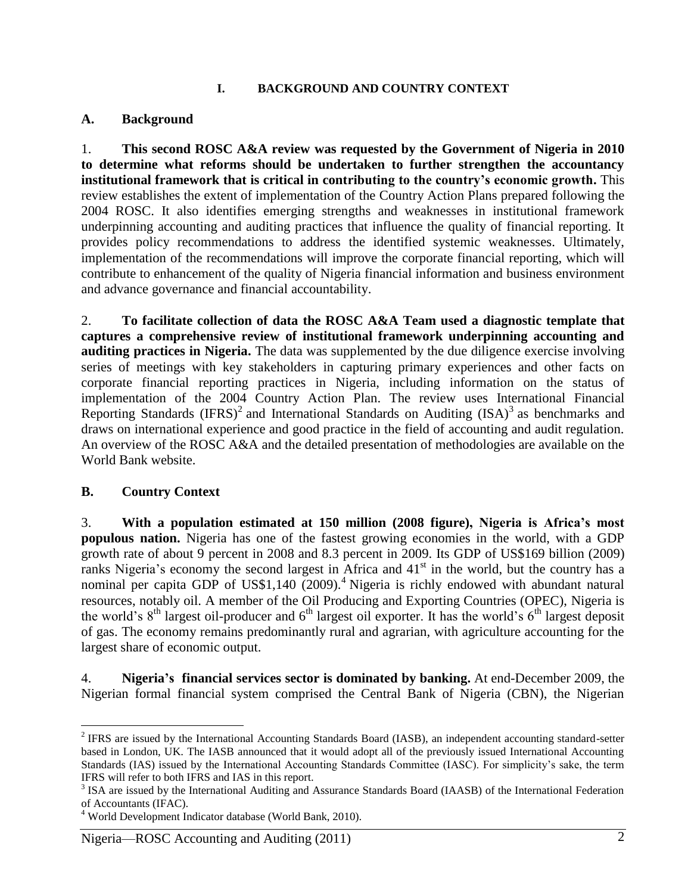#### **I. BACKGROUND AND COUNTRY CONTEXT**

### **A. Background**

1. **This second ROSC A&A review was requested by the Government of Nigeria in 2010 to determine what reforms should be undertaken to further strengthen the accountancy institutional framework that is critical in contributing to the country's economic growth.** This review establishes the extent of implementation of the Country Action Plans prepared following the 2004 ROSC. It also identifies emerging strengths and weaknesses in institutional framework underpinning accounting and auditing practices that influence the quality of financial reporting. It provides policy recommendations to address the identified systemic weaknesses. Ultimately, implementation of the recommendations will improve the corporate financial reporting, which will contribute to enhancement of the quality of Nigeria financial information and business environment and advance governance and financial accountability.

2. **To facilitate collection of data the ROSC A&A Team used a diagnostic template that captures a comprehensive review of institutional framework underpinning accounting and auditing practices in Nigeria.** The data was supplemented by the due diligence exercise involving series of meetings with key stakeholders in capturing primary experiences and other facts on corporate financial reporting practices in Nigeria, including information on the status of implementation of the 2004 Country Action Plan. The review uses International Financial Reporting Standards  $(IFRS)^2$  and International Standards on Auditing  $(ISA)^3$  as benchmarks and draws on international experience and good practice in the field of accounting and audit regulation. An overview of the ROSC A&A and the detailed presentation of methodologies are available on the World Bank website.

### **B. Country Context**

 $\overline{a}$ 

3. **With a population estimated at 150 million (2008 figure), Nigeria is Africa's most populous nation.** Nigeria has one of the fastest growing economies in the world, with a GDP growth rate of about 9 percent in 2008 and 8.3 percent in 2009. Its GDP of US\$169 billion (2009) ranks Nigeria's economy the second largest in Africa and  $41<sup>st</sup>$  in the world, but the country has a nominal per capita GDP of US\$1,140 (2009).<sup>4</sup> Nigeria is richly endowed with abundant natural resources, notably oil. A member of the Oil Producing and Exporting Countries (OPEC), Nigeria is the world's  $8<sup>th</sup>$  largest oil-producer and  $6<sup>th</sup>$  largest oil exporter. It has the world's  $6<sup>th</sup>$  largest deposit of gas. The economy remains predominantly rural and agrarian, with agriculture accounting for the largest share of economic output.

4. **Nigeria's financial services sector is dominated by banking.** At end-December 2009, the Nigerian formal financial system comprised the Central Bank of Nigeria (CBN), the Nigerian

 $2$  IFRS are issued by the International Accounting Standards Board (IASB), an independent accounting standard-setter based in London, UK. The IASB announced that it would adopt all of the previously issued International Accounting Standards (IAS) issued by the International Accounting Standards Committee (IASC). For simplicity's sake, the term IFRS will refer to both IFRS and IAS in this report.

<sup>&</sup>lt;sup>3</sup> ISA are issued by the International Auditing and Assurance Standards Board (IAASB) of the International Federation of Accountants (IFAC).

<sup>4</sup> World Development Indicator database (World Bank, 2010).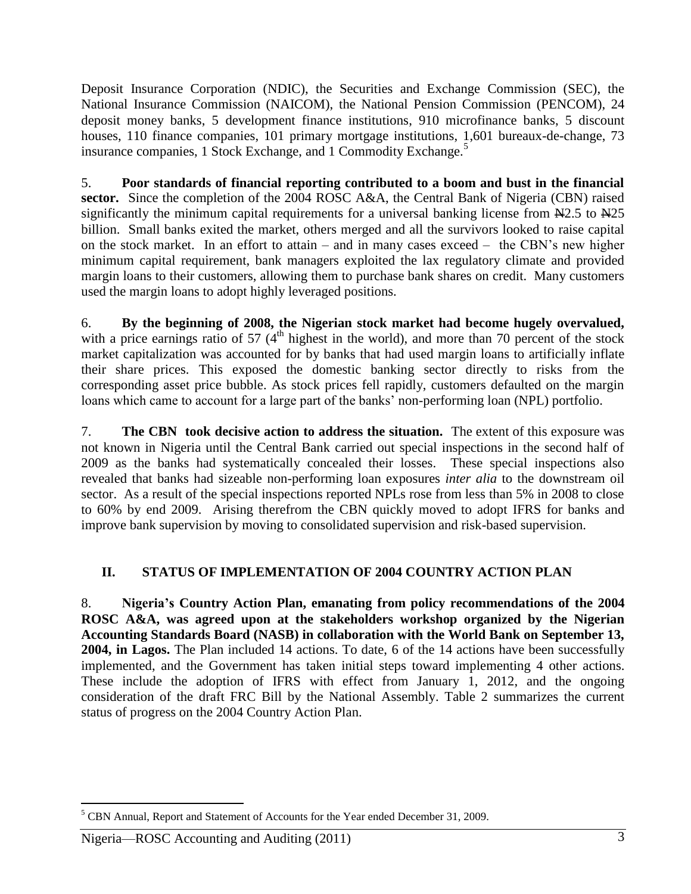Deposit Insurance Corporation (NDIC), the Securities and Exchange Commission (SEC), the National Insurance Commission (NAICOM), the National Pension Commission (PENCOM), 24 deposit money banks, 5 development finance institutions, 910 microfinance banks, 5 discount houses, 110 finance companies, 101 primary mortgage institutions, 1,601 bureaux-de-change, 73 insurance companies, 1 Stock Exchange, and 1 Commodity Exchange.<sup>5</sup>

5. **Poor standards of financial reporting contributed to a boom and bust in the financial sector.** Since the completion of the 2004 ROSC A&A, the Central Bank of Nigeria (CBN) raised significantly the minimum capital requirements for a universal banking license from  $\text{N2.5}$  to  $\text{N25}$ billion. Small banks exited the market, others merged and all the survivors looked to raise capital on the stock market. In an effort to attain – and in many cases exceed – the CBN's new higher minimum capital requirement, bank managers exploited the lax regulatory climate and provided margin loans to their customers, allowing them to purchase bank shares on credit. Many customers used the margin loans to adopt highly leveraged positions.

6. **By the beginning of 2008, the Nigerian stock market had become hugely overvalued,** with a price earnings ratio of 57  $(4<sup>th</sup>$  highest in the world), and more than 70 percent of the stock market capitalization was accounted for by banks that had used margin loans to artificially inflate their share prices. This exposed the domestic banking sector directly to risks from the corresponding asset price bubble. As stock prices fell rapidly, customers defaulted on the margin loans which came to account for a large part of the banks' non-performing loan (NPL) portfolio.

7. **The CBN took decisive action to address the situation.** The extent of this exposure was not known in Nigeria until the Central Bank carried out special inspections in the second half of 2009 as the banks had systematically concealed their losses. These special inspections also revealed that banks had sizeable non-performing loan exposures *inter alia* to the downstream oil sector. As a result of the special inspections reported NPLs rose from less than 5% in 2008 to close to 60% by end 2009. Arising therefrom the CBN quickly moved to adopt IFRS for banks and improve bank supervision by moving to consolidated supervision and risk-based supervision.

# **II. STATUS OF IMPLEMENTATION OF 2004 COUNTRY ACTION PLAN**

8. **Nigeria's Country Action Plan, emanating from policy recommendations of the 2004 ROSC A&A, was agreed upon at the stakeholders workshop organized by the Nigerian Accounting Standards Board (NASB) in collaboration with the World Bank on September 13, 2004, in Lagos.** The Plan included 14 actions. To date, 6 of the 14 actions have been successfully implemented, and the Government has taken initial steps toward implementing 4 other actions. These include the adoption of IFRS with effect from January 1, 2012, and the ongoing consideration of the draft FRC Bill by the National Assembly. Table 2 summarizes the current status of progress on the 2004 Country Action Plan.

 $\overline{a}$ 

<sup>&</sup>lt;sup>5</sup> CBN Annual, Report and Statement of Accounts for the Year ended December 31, 2009.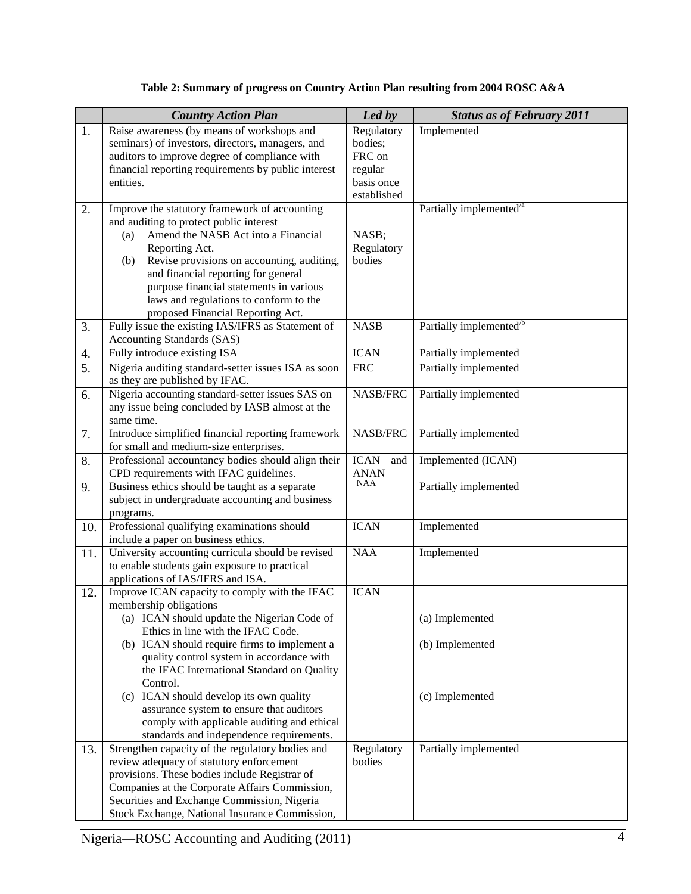| Table 2: Summary of progress on Country Action Plan resulting from 2004 ROSC A&A |  |  |  |
|----------------------------------------------------------------------------------|--|--|--|
|----------------------------------------------------------------------------------|--|--|--|

|     | <b>Country Action Plan</b>                                                                         | Led by             | <b>Status as of February 2011</b>   |
|-----|----------------------------------------------------------------------------------------------------|--------------------|-------------------------------------|
| 1.  | Raise awareness (by means of workshops and                                                         | Regulatory         | Implemented                         |
|     | seminars) of investors, directors, managers, and                                                   | bodies;            |                                     |
|     | auditors to improve degree of compliance with                                                      | FRC on             |                                     |
|     | financial reporting requirements by public interest                                                | regular            |                                     |
|     | entities.                                                                                          | basis once         |                                     |
|     |                                                                                                    | established        |                                     |
| 2.  | Improve the statutory framework of accounting                                                      |                    | Partially implemented <sup>/a</sup> |
|     | and auditing to protect public interest                                                            |                    |                                     |
|     | Amend the NASB Act into a Financial<br>(a)                                                         | NASB;              |                                     |
|     | Reporting Act.                                                                                     | Regulatory         |                                     |
|     | Revise provisions on accounting, auditing,<br>(b)                                                  | bodies             |                                     |
|     | and financial reporting for general                                                                |                    |                                     |
|     | purpose financial statements in various                                                            |                    |                                     |
|     | laws and regulations to conform to the<br>proposed Financial Reporting Act.                        |                    |                                     |
| 3.  | Fully issue the existing IAS/IFRS as Statement of                                                  | <b>NASB</b>        | Partially implemented <sup>/b</sup> |
|     | Accounting Standards (SAS)                                                                         |                    |                                     |
| 4.  | Fully introduce existing ISA                                                                       | <b>ICAN</b>        | Partially implemented               |
| 5.  | Nigeria auditing standard-setter issues ISA as soon                                                | <b>FRC</b>         | Partially implemented               |
|     | as they are published by IFAC.                                                                     |                    |                                     |
| 6.  | Nigeria accounting standard-setter issues SAS on                                                   | NASB/FRC           | Partially implemented               |
|     | any issue being concluded by IASB almost at the                                                    |                    |                                     |
|     | same time.                                                                                         |                    |                                     |
| 7.  | Introduce simplified financial reporting framework                                                 | NASB/FRC           | Partially implemented               |
|     | for small and medium-size enterprises.                                                             |                    |                                     |
| 8.  | Professional accountancy bodies should align their                                                 | <b>ICAN</b><br>and | Implemented (ICAN)                  |
|     | CPD requirements with IFAC guidelines.                                                             | <b>ANAN</b><br>NAA |                                     |
| 9.  | Business ethics should be taught as a separate<br>subject in undergraduate accounting and business |                    | Partially implemented               |
|     | programs.                                                                                          |                    |                                     |
| 10. | Professional qualifying examinations should                                                        | <b>ICAN</b>        | Implemented                         |
|     | include a paper on business ethics.                                                                |                    |                                     |
| 11. | University accounting curricula should be revised                                                  | <b>NAA</b>         | Implemented                         |
|     | to enable students gain exposure to practical                                                      |                    |                                     |
|     | applications of IAS/IFRS and ISA.                                                                  |                    |                                     |
| 12. | Improve ICAN capacity to comply with the IFAC                                                      | <b>ICAN</b>        |                                     |
|     | membership obligations                                                                             |                    |                                     |
|     | (a) ICAN should update the Nigerian Code of                                                        |                    | (a) Implemented                     |
|     | Ethics in line with the IFAC Code.                                                                 |                    |                                     |
|     | (b) ICAN should require firms to implement a                                                       |                    | (b) Implemented                     |
|     | quality control system in accordance with                                                          |                    |                                     |
|     | the IFAC International Standard on Quality                                                         |                    |                                     |
|     | Control.                                                                                           |                    |                                     |
|     | (c) ICAN should develop its own quality<br>assurance system to ensure that auditors                |                    | (c) Implemented                     |
|     | comply with applicable auditing and ethical                                                        |                    |                                     |
|     | standards and independence requirements.                                                           |                    |                                     |
| 13. | Strengthen capacity of the regulatory bodies and                                                   | Regulatory         | Partially implemented               |
|     | review adequacy of statutory enforcement                                                           | bodies             |                                     |
|     | provisions. These bodies include Registrar of                                                      |                    |                                     |
|     | Companies at the Corporate Affairs Commission,                                                     |                    |                                     |
|     | Securities and Exchange Commission, Nigeria                                                        |                    |                                     |
|     | Stock Exchange, National Insurance Commission,                                                     |                    |                                     |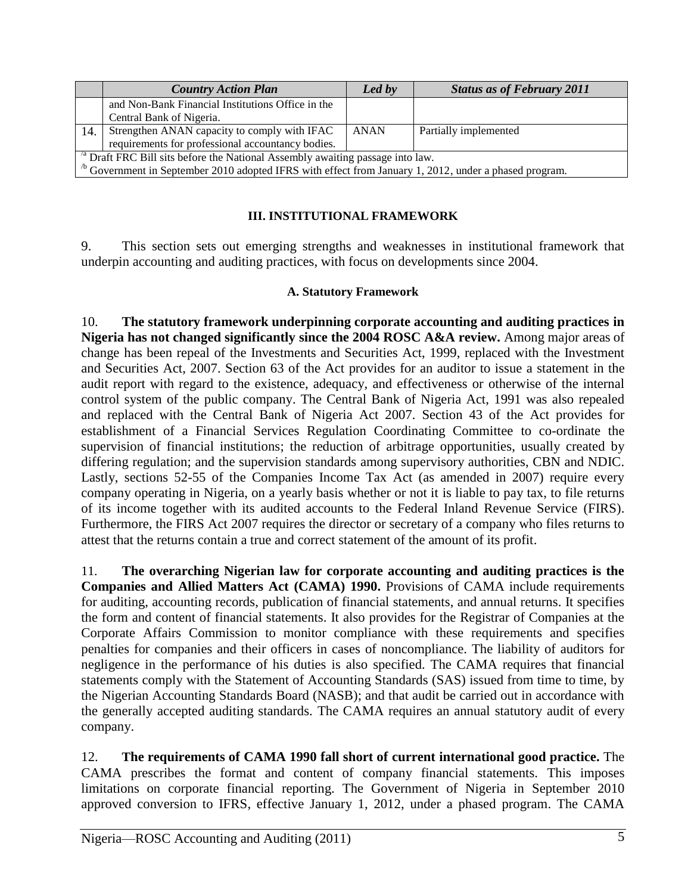|                                                                                           | <b>Country Action Plan</b>                                                                                    | Led by      | <b>Status as of February 2011</b> |  |  |  |
|-------------------------------------------------------------------------------------------|---------------------------------------------------------------------------------------------------------------|-------------|-----------------------------------|--|--|--|
|                                                                                           | and Non-Bank Financial Institutions Office in the                                                             |             |                                   |  |  |  |
|                                                                                           | Central Bank of Nigeria.                                                                                      |             |                                   |  |  |  |
| 14.                                                                                       | Strengthen ANAN capacity to comply with IFAC                                                                  | <b>ANAN</b> | Partially implemented             |  |  |  |
|                                                                                           | requirements for professional accountancy bodies.                                                             |             |                                   |  |  |  |
| <sup>'a</sup> Draft FRC Bill sits before the National Assembly awaiting passage into law. |                                                                                                               |             |                                   |  |  |  |
|                                                                                           | $\degree$ Government in September 2010 adopted IFRS with effect from January 1, 2012, under a phased program. |             |                                   |  |  |  |

### **III. INSTITUTIONAL FRAMEWORK**

9. This section sets out emerging strengths and weaknesses in institutional framework that underpin accounting and auditing practices, with focus on developments since 2004.

### **A. Statutory Framework**

10. **The statutory framework underpinning corporate accounting and auditing practices in Nigeria has not changed significantly since the 2004 ROSC A&A review.** Among major areas of change has been repeal of the Investments and Securities Act, 1999, replaced with the Investment and Securities Act, 2007. Section 63 of the Act provides for an auditor to issue a statement in the audit report with regard to the existence, adequacy, and effectiveness or otherwise of the internal control system of the public company. The Central Bank of Nigeria Act, 1991 was also repealed and replaced with the Central Bank of Nigeria Act 2007. Section 43 of the Act provides for establishment of a Financial Services Regulation Coordinating Committee to co-ordinate the supervision of financial institutions; the reduction of arbitrage opportunities, usually created by differing regulation; and the supervision standards among supervisory authorities, CBN and NDIC. Lastly, sections 52-55 of the Companies Income Tax Act (as amended in 2007) require every company operating in Nigeria, on a yearly basis whether or not it is liable to pay tax, to file returns of its income together with its audited accounts to the Federal Inland Revenue Service (FIRS). Furthermore, the FIRS Act 2007 requires the director or secretary of a company who files returns to attest that the returns contain a true and correct statement of the amount of its profit.

11. **The overarching Nigerian law for corporate accounting and auditing practices is the Companies and Allied Matters Act (CAMA) 1990.** Provisions of CAMA include requirements for auditing, accounting records, publication of financial statements, and annual returns. It specifies the form and content of financial statements. It also provides for the Registrar of Companies at the Corporate Affairs Commission to monitor compliance with these requirements and specifies penalties for companies and their officers in cases of noncompliance. The liability of auditors for negligence in the performance of his duties is also specified. The CAMA requires that financial statements comply with the Statement of Accounting Standards (SAS) issued from time to time, by the Nigerian Accounting Standards Board (NASB); and that audit be carried out in accordance with the generally accepted auditing standards. The CAMA requires an annual statutory audit of every company.

12. **The requirements of CAMA 1990 fall short of current international good practice.** The CAMA prescribes the format and content of company financial statements. This imposes limitations on corporate financial reporting. The Government of Nigeria in September 2010 approved conversion to IFRS, effective January 1, 2012, under a phased program. The CAMA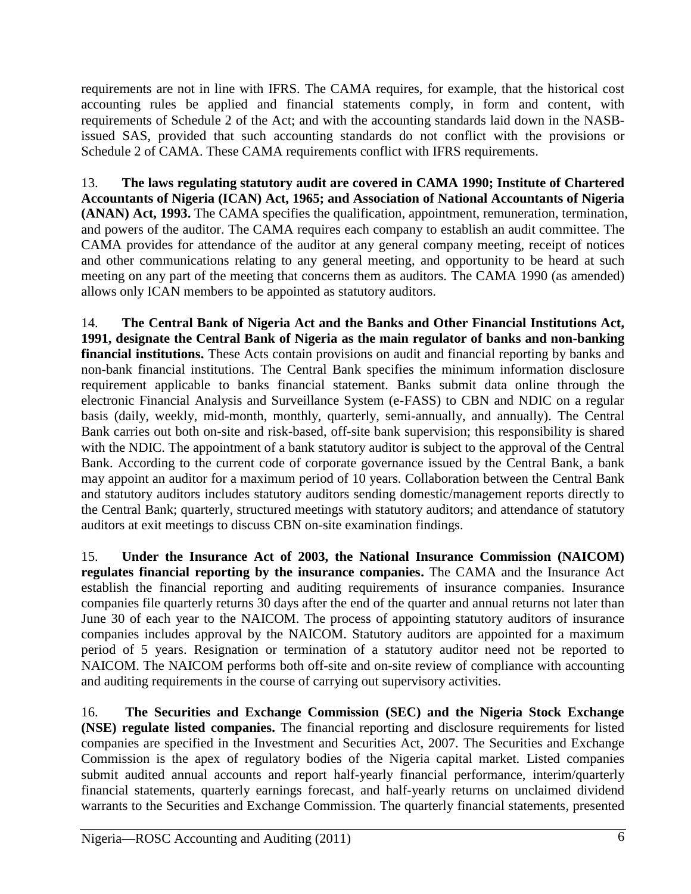requirements are not in line with IFRS. The CAMA requires, for example, that the historical cost accounting rules be applied and financial statements comply, in form and content, with requirements of Schedule 2 of the Act; and with the accounting standards laid down in the NASBissued SAS, provided that such accounting standards do not conflict with the provisions or Schedule 2 of CAMA. These CAMA requirements conflict with IFRS requirements.

13. **The laws regulating statutory audit are covered in CAMA 1990; Institute of Chartered Accountants of Nigeria (ICAN) Act, 1965; and Association of National Accountants of Nigeria (ANAN) Act, 1993.** The CAMA specifies the qualification, appointment, remuneration, termination, and powers of the auditor. The CAMA requires each company to establish an audit committee. The CAMA provides for attendance of the auditor at any general company meeting, receipt of notices and other communications relating to any general meeting, and opportunity to be heard at such meeting on any part of the meeting that concerns them as auditors. The CAMA 1990 (as amended) allows only ICAN members to be appointed as statutory auditors.

14. **The Central Bank of Nigeria Act and the Banks and Other Financial Institutions Act, 1991, designate the Central Bank of Nigeria as the main regulator of banks and non-banking financial institutions.** These Acts contain provisions on audit and financial reporting by banks and non-bank financial institutions. The Central Bank specifies the minimum information disclosure requirement applicable to banks financial statement. Banks submit data online through the electronic Financial Analysis and Surveillance System (e-FASS) to CBN and NDIC on a regular basis (daily, weekly, mid-month, monthly, quarterly, semi-annually, and annually). The Central Bank carries out both on-site and risk-based, off-site bank supervision; this responsibility is shared with the NDIC. The appointment of a bank statutory auditor is subject to the approval of the Central Bank. According to the current code of corporate governance issued by the Central Bank, a bank may appoint an auditor for a maximum period of 10 years. Collaboration between the Central Bank and statutory auditors includes statutory auditors sending domestic/management reports directly to the Central Bank; quarterly, structured meetings with statutory auditors; and attendance of statutory auditors at exit meetings to discuss CBN on-site examination findings.

15. **Under the Insurance Act of 2003, the National Insurance Commission (NAICOM) regulates financial reporting by the insurance companies.** The CAMA and the Insurance Act establish the financial reporting and auditing requirements of insurance companies. Insurance companies file quarterly returns 30 days after the end of the quarter and annual returns not later than June 30 of each year to the NAICOM. The process of appointing statutory auditors of insurance companies includes approval by the NAICOM. Statutory auditors are appointed for a maximum period of 5 years. Resignation or termination of a statutory auditor need not be reported to NAICOM. The NAICOM performs both off-site and on-site review of compliance with accounting and auditing requirements in the course of carrying out supervisory activities.

16. **The Securities and Exchange Commission (SEC) and the Nigeria Stock Exchange (NSE) regulate listed companies.** The financial reporting and disclosure requirements for listed companies are specified in the Investment and Securities Act, 2007. The Securities and Exchange Commission is the apex of regulatory bodies of the Nigeria capital market. Listed companies submit audited annual accounts and report half-yearly financial performance, interim/quarterly financial statements, quarterly earnings forecast, and half-yearly returns on unclaimed dividend warrants to the Securities and Exchange Commission. The quarterly financial statements, presented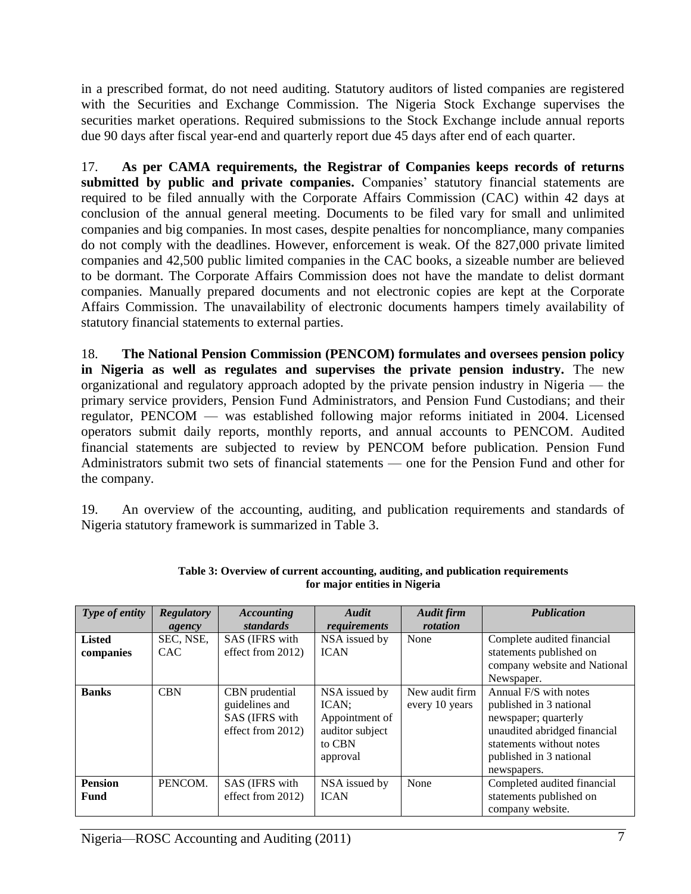in a prescribed format, do not need auditing. Statutory auditors of listed companies are registered with the Securities and Exchange Commission. The Nigeria Stock Exchange supervises the securities market operations. Required submissions to the Stock Exchange include annual reports due 90 days after fiscal year-end and quarterly report due 45 days after end of each quarter.

17. **As per CAMA requirements, the Registrar of Companies keeps records of returns**  submitted by public and private companies. Companies' statutory financial statements are required to be filed annually with the Corporate Affairs Commission (CAC) within 42 days at conclusion of the annual general meeting. Documents to be filed vary for small and unlimited companies and big companies. In most cases, despite penalties for noncompliance, many companies do not comply with the deadlines. However, enforcement is weak. Of the 827,000 private limited companies and 42,500 public limited companies in the CAC books, a sizeable number are believed to be dormant. The Corporate Affairs Commission does not have the mandate to delist dormant companies. Manually prepared documents and not electronic copies are kept at the Corporate Affairs Commission. The unavailability of electronic documents hampers timely availability of statutory financial statements to external parties.

18. **The National Pension Commission (PENCOM) formulates and oversees pension policy in Nigeria as well as regulates and supervises the private pension industry.** The new organizational and regulatory approach adopted by the private pension industry in Nigeria — the primary service providers, Pension Fund Administrators, and Pension Fund Custodians; and their regulator, PENCOM — was established following major reforms initiated in 2004. Licensed operators submit daily reports, monthly reports, and annual accounts to PENCOM. Audited financial statements are subjected to review by PENCOM before publication. Pension Fund Administrators submit two sets of financial statements — one for the Pension Fund and other for the company.

19. An overview of the accounting, auditing, and publication requirements and standards of Nigeria statutory framework is summarized in Table 3.

| Type of entity | <b>Regulatory</b> | <b>Accounting</b> | Audit           | <b>Audit firm</b> | <b>Publication</b>           |
|----------------|-------------------|-------------------|-----------------|-------------------|------------------------------|
|                | agency            | standards         | requirements    | rotation          |                              |
| <b>Listed</b>  | SEC, NSE,         | SAS (IFRS with    | NSA issued by   | None              | Complete audited financial   |
| companies      | <b>CAC</b>        | effect from 2012) | <b>ICAN</b>     |                   | statements published on      |
|                |                   |                   |                 |                   | company website and National |
|                |                   |                   |                 |                   | Newspaper.                   |
| <b>Banks</b>   | <b>CBN</b>        | CBN prudential    | NSA issued by   | New audit firm    | Annual F/S with notes        |
|                |                   | guidelines and    | ICAN;           | every 10 years    | published in 3 national      |
|                |                   | SAS (IFRS with    | Appointment of  |                   | newspaper; quarterly         |
|                |                   | effect from 2012) | auditor subject |                   | unaudited abridged financial |
|                |                   |                   | to CBN          |                   | statements without notes     |
|                |                   |                   | approval        |                   | published in 3 national      |
|                |                   |                   |                 |                   | newspapers.                  |
| <b>Pension</b> | PENCOM.           | SAS (IFRS with    | NSA issued by   | None              | Completed audited financial  |
| Fund           |                   | effect from 2012) | <b>ICAN</b>     |                   | statements published on      |
|                |                   |                   |                 |                   | company website.             |

| Table 3: Overview of current accounting, auditing, and publication requirements |
|---------------------------------------------------------------------------------|
| for major entities in Nigeria                                                   |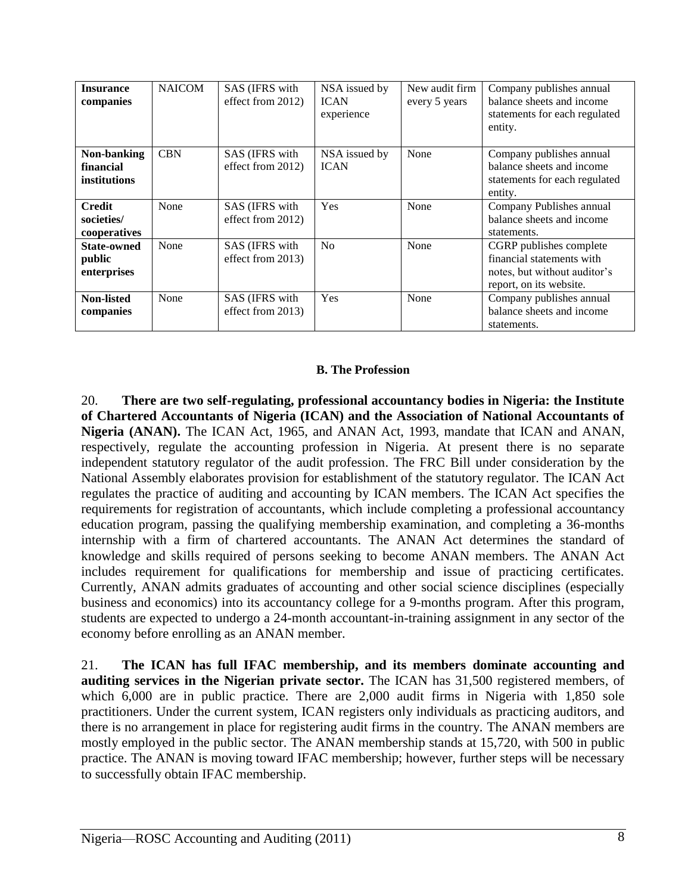| <b>Insurance</b><br>companies               | <b>NAICOM</b> | SAS (IFRS with<br>effect from 2012) | NSA issued by<br><b>ICAN</b><br>experience | New audit firm<br>every 5 years | Company publishes annual<br>balance sheets and income<br>statements for each regulated<br>entity.               |
|---------------------------------------------|---------------|-------------------------------------|--------------------------------------------|---------------------------------|-----------------------------------------------------------------------------------------------------------------|
| Non-banking<br>financial<br>institutions    | <b>CBN</b>    | SAS (IFRS with<br>effect from 2012) | NSA issued by<br><b>ICAN</b>               | None                            | Company publishes annual<br>balance sheets and income<br>statements for each regulated<br>entity.               |
| <b>Credit</b><br>societies/<br>cooperatives | None          | SAS (IFRS with<br>effect from 2012) | <b>Yes</b>                                 | None                            | Company Publishes annual<br>balance sheets and income<br>statements.                                            |
| <b>State-owned</b><br>public<br>enterprises | None          | SAS (IFRS with<br>effect from 2013) | No                                         | None                            | CGRP publishes complete<br>financial statements with<br>notes, but without auditor's<br>report, on its website. |
| Non-listed<br>companies                     | None          | SAS (IFRS with<br>effect from 2013) | <b>Yes</b>                                 | None                            | Company publishes annual<br>balance sheets and income<br>statements.                                            |

### **B. The Profession**

20. **There are two self-regulating, professional accountancy bodies in Nigeria: the Institute of Chartered Accountants of Nigeria (ICAN) and the Association of National Accountants of Nigeria (ANAN).** The ICAN Act, 1965, and ANAN Act, 1993, mandate that ICAN and ANAN, respectively, regulate the accounting profession in Nigeria. At present there is no separate independent statutory regulator of the audit profession. The FRC Bill under consideration by the National Assembly elaborates provision for establishment of the statutory regulator. The ICAN Act regulates the practice of auditing and accounting by ICAN members. The ICAN Act specifies the requirements for registration of accountants, which include completing a professional accountancy education program, passing the qualifying membership examination, and completing a 36-months internship with a firm of chartered accountants. The ANAN Act determines the standard of knowledge and skills required of persons seeking to become ANAN members. The ANAN Act includes requirement for qualifications for membership and issue of practicing certificates. Currently, ANAN admits graduates of accounting and other social science disciplines (especially business and economics) into its accountancy college for a 9-months program. After this program, students are expected to undergo a 24-month accountant-in-training assignment in any sector of the economy before enrolling as an ANAN member.

21. **The ICAN has full IFAC membership, and its members dominate accounting and auditing services in the Nigerian private sector.** The ICAN has 31,500 registered members, of which 6,000 are in public practice. There are 2,000 audit firms in Nigeria with 1,850 sole practitioners. Under the current system, ICAN registers only individuals as practicing auditors, and there is no arrangement in place for registering audit firms in the country. The ANAN members are mostly employed in the public sector. The ANAN membership stands at 15,720, with 500 in public practice. The ANAN is moving toward IFAC membership; however, further steps will be necessary to successfully obtain IFAC membership.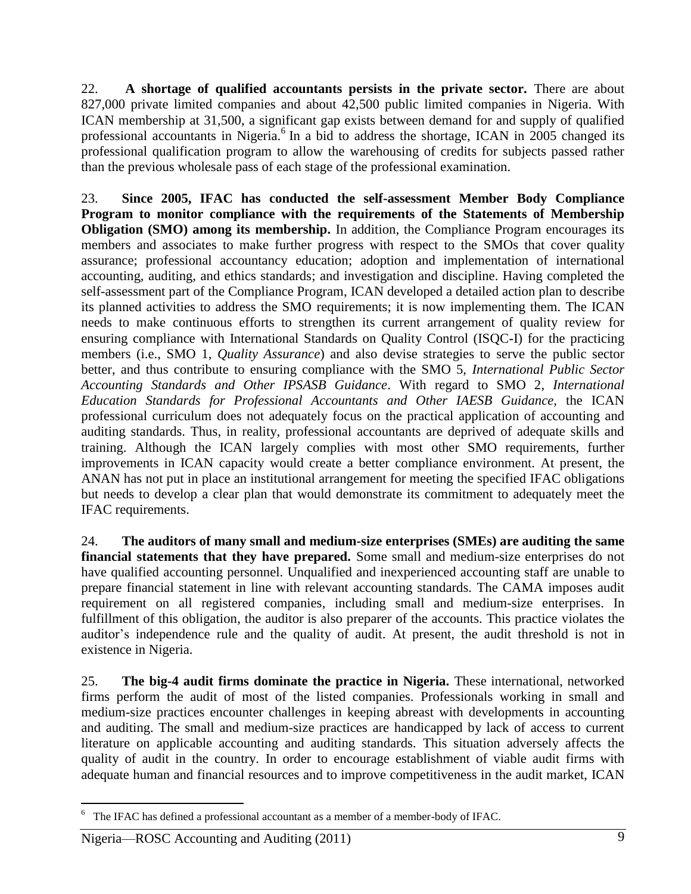22. **A shortage of qualified accountants persists in the private sector.** There are about 827,000 private limited companies and about 42,500 public limited companies in Nigeria. With ICAN membership at 31,500, a significant gap exists between demand for and supply of qualified professional accountants in Nigeria.<sup>6</sup> In a bid to address the shortage, ICAN in 2005 changed its professional qualification program to allow the warehousing of credits for subjects passed rather than the previous wholesale pass of each stage of the professional examination.

23. **Since 2005, IFAC has conducted the self-assessment Member Body Compliance Program to monitor compliance with the requirements of the Statements of Membership Obligation (SMO) among its membership.** In addition, the Compliance Program encourages its members and associates to make further progress with respect to the SMOs that cover quality assurance; professional accountancy education; adoption and implementation of international accounting, auditing, and ethics standards; and investigation and discipline. Having completed the self-assessment part of the Compliance Program, ICAN developed a detailed action plan to describe its planned activities to address the SMO requirements; it is now implementing them. The ICAN needs to make continuous efforts to strengthen its current arrangement of quality review for ensuring compliance with International Standards on Quality Control (ISQC**-**I) for the practicing members (i.e., SMO 1, *Quality Assurance*) and also devise strategies to serve the public sector better, and thus contribute to ensuring compliance with the SMO 5, *International Public Sector Accounting Standards and Other IPSASB Guidance*. With regard to SMO 2, *International Education Standards for Professional Accountants and Other IAESB Guidance,* the ICAN professional curriculum does not adequately focus on the practical application of accounting and auditing standards. Thus, in reality, professional accountants are deprived of adequate skills and training. Although the ICAN largely complies with most other SMO requirements, further improvements in ICAN capacity would create a better compliance environment. At present, the ANAN has not put in place an institutional arrangement for meeting the specified IFAC obligations but needs to develop a clear plan that would demonstrate its commitment to adequately meet the IFAC requirements.

24. **The auditors of many small and medium-size enterprises (SMEs) are auditing the same financial statements that they have prepared.** Some small and medium-size enterprises do not have qualified accounting personnel. Unqualified and inexperienced accounting staff are unable to prepare financial statement in line with relevant accounting standards. The CAMA imposes audit requirement on all registered companies, including small and medium-size enterprises. In fulfillment of this obligation, the auditor is also preparer of the accounts. This practice violates the auditor's independence rule and the quality of audit. At present, the audit threshold is not in existence in Nigeria.

25. **The big-4 audit firms dominate the practice in Nigeria.** These international, networked firms perform the audit of most of the listed companies. Professionals working in small and medium-size practices encounter challenges in keeping abreast with developments in accounting and auditing. The small and medium-size practices are handicapped by lack of access to current literature on applicable accounting and auditing standards. This situation adversely affects the quality of audit in the country. In order to encourage establishment of viable audit firms with adequate human and financial resources and to improve competitiveness in the audit market, ICAN

 $\overline{a}$ 

 $6\degree$  The IFAC has defined a professional accountant as a member of a member-body of IFAC.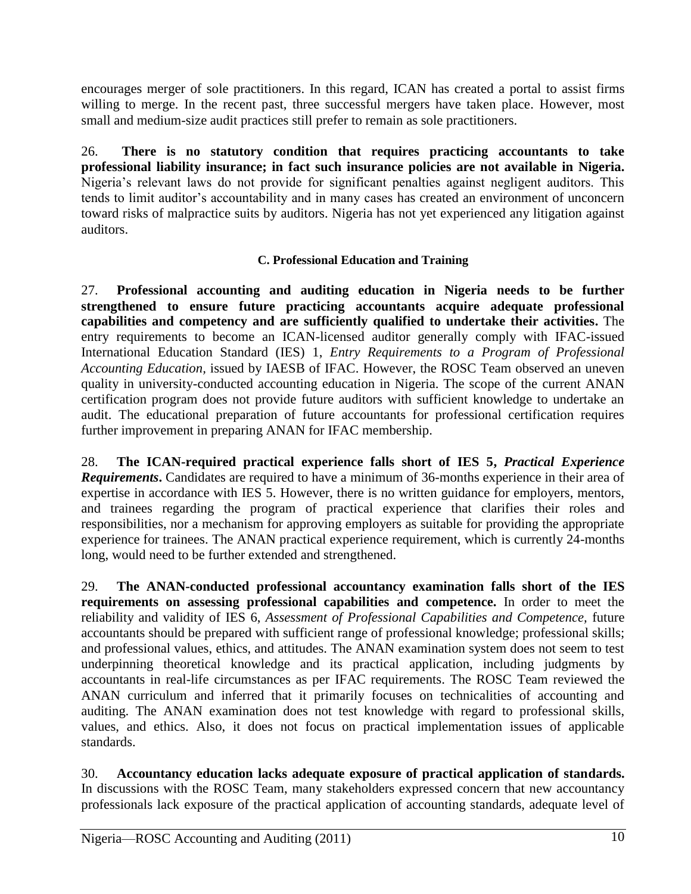encourages merger of sole practitioners. In this regard, ICAN has created a portal to assist firms willing to merge. In the recent past, three successful mergers have taken place. However, most small and medium-size audit practices still prefer to remain as sole practitioners.

26. **There is no statutory condition that requires practicing accountants to take professional liability insurance; in fact such insurance policies are not available in Nigeria.**  Nigeria's relevant laws do not provide for significant penalties against negligent auditors. This tends to limit auditor's accountability and in many cases has created an environment of unconcern toward risks of malpractice suits by auditors. Nigeria has not yet experienced any litigation against auditors.

## **C. Professional Education and Training**

27. **Professional accounting and auditing education in Nigeria needs to be further strengthened to ensure future practicing accountants acquire adequate professional capabilities and competency and are sufficiently qualified to undertake their activities.** The entry requirements to become an ICAN-licensed auditor generally comply with IFAC-issued International Education Standard (IES) 1, *Entry Requirements to a Program of Professional Accounting Education,* issued by IAESB of IFAC. However, the ROSC Team observed an uneven quality in university-conducted accounting education in Nigeria. The scope of the current ANAN certification program does not provide future auditors with sufficient knowledge to undertake an audit. The educational preparation of future accountants for professional certification requires further improvement in preparing ANAN for IFAC membership.

28. **The ICAN-required practical experience falls short of IES 5,** *Practical Experience Requirements***.** Candidates are required to have a minimum of 36-months experience in their area of expertise in accordance with IES 5. However, there is no written guidance for employers, mentors, and trainees regarding the program of practical experience that clarifies their roles and responsibilities, nor a mechanism for approving employers as suitable for providing the appropriate experience for trainees. The ANAN practical experience requirement, which is currently 24-months long, would need to be further extended and strengthened.

29. **The ANAN-conducted professional accountancy examination falls short of the IES requirements on assessing professional capabilities and competence.** In order to meet the reliability and validity of IES 6, *Assessment of Professional Capabilities and Competence,* future accountants should be prepared with sufficient range of professional knowledge; professional skills; and professional values, ethics, and attitudes. The ANAN examination system does not seem to test underpinning theoretical knowledge and its practical application, including judgments by accountants in real-life circumstances as per IFAC requirements. The ROSC Team reviewed the ANAN curriculum and inferred that it primarily focuses on technicalities of accounting and auditing. The ANAN examination does not test knowledge with regard to professional skills, values, and ethics. Also, it does not focus on practical implementation issues of applicable standards.

30. **Accountancy education lacks adequate exposure of practical application of standards.**  In discussions with the ROSC Team, many stakeholders expressed concern that new accountancy professionals lack exposure of the practical application of accounting standards, adequate level of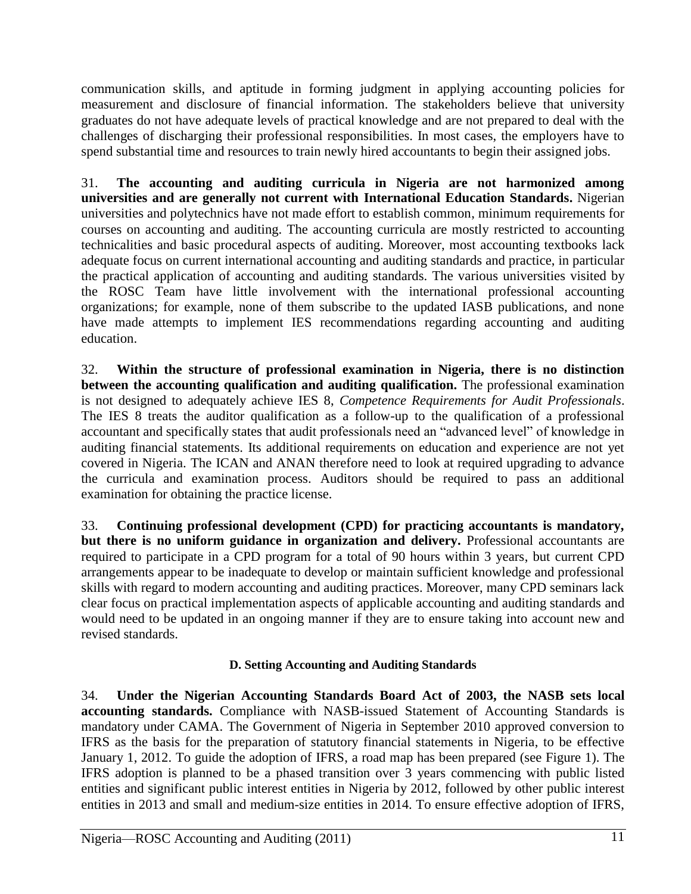communication skills, and aptitude in forming judgment in applying accounting policies for measurement and disclosure of financial information. The stakeholders believe that university graduates do not have adequate levels of practical knowledge and are not prepared to deal with the challenges of discharging their professional responsibilities. In most cases, the employers have to spend substantial time and resources to train newly hired accountants to begin their assigned jobs.

31. **The accounting and auditing curricula in Nigeria are not harmonized among universities and are generally not current with International Education Standards.** Nigerian universities and polytechnics have not made effort to establish common, minimum requirements for courses on accounting and auditing. The accounting curricula are mostly restricted to accounting technicalities and basic procedural aspects of auditing. Moreover, most accounting textbooks lack adequate focus on current international accounting and auditing standards and practice, in particular the practical application of accounting and auditing standards. The various universities visited by the ROSC Team have little involvement with the international professional accounting organizations; for example, none of them subscribe to the updated IASB publications, and none have made attempts to implement IES recommendations regarding accounting and auditing education.

32. **Within the structure of professional examination in Nigeria, there is no distinction between the accounting qualification and auditing qualification.** The professional examination is not designed to adequately achieve IES 8, *Competence Requirements for Audit Professionals*. The IES 8 treats the auditor qualification as a follow-up to the qualification of a professional accountant and specifically states that audit professionals need an "advanced level" of knowledge in auditing financial statements. Its additional requirements on education and experience are not yet covered in Nigeria. The ICAN and ANAN therefore need to look at required upgrading to advance the curricula and examination process. Auditors should be required to pass an additional examination for obtaining the practice license.

33. **Continuing professional development (CPD) for practicing accountants is mandatory, but there is no uniform guidance in organization and delivery.** Professional accountants are required to participate in a CPD program for a total of 90 hours within 3 years, but current CPD arrangements appear to be inadequate to develop or maintain sufficient knowledge and professional skills with regard to modern accounting and auditing practices. Moreover, many CPD seminars lack clear focus on practical implementation aspects of applicable accounting and auditing standards and would need to be updated in an ongoing manner if they are to ensure taking into account new and revised standards.

### **D. Setting Accounting and Auditing Standards**

34. **Under the Nigerian Accounting Standards Board Act of 2003, the NASB sets local accounting standards.** Compliance with NASB-issued Statement of Accounting Standards is mandatory under CAMA. The Government of Nigeria in September 2010 approved conversion to IFRS as the basis for the preparation of statutory financial statements in Nigeria, to be effective January 1, 2012. To guide the adoption of IFRS, a road map has been prepared (see Figure 1). The IFRS adoption is planned to be a phased transition over 3 years commencing with public listed entities and significant public interest entities in Nigeria by 2012, followed by other public interest entities in 2013 and small and medium-size entities in 2014. To ensure effective adoption of IFRS,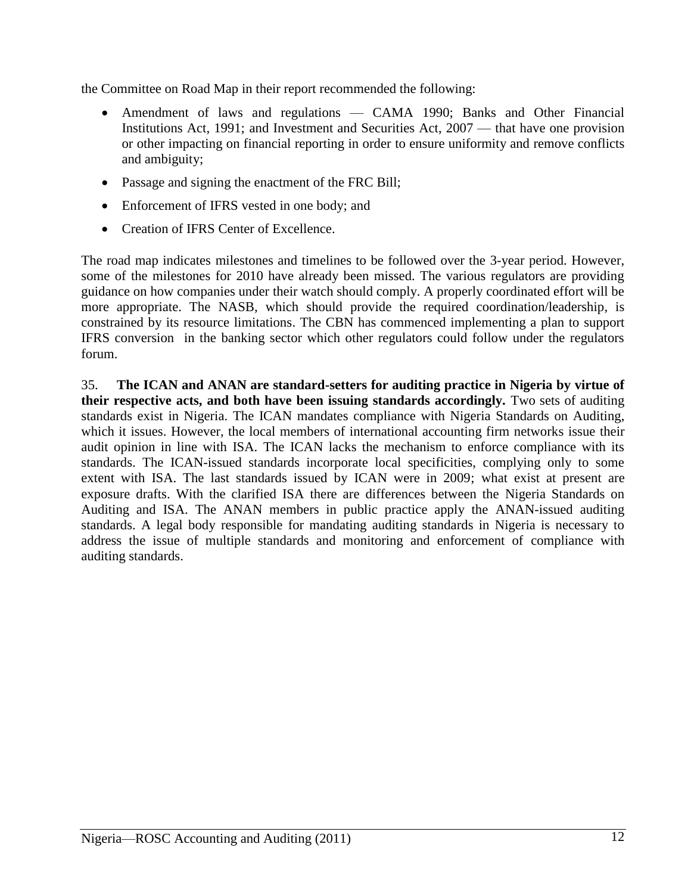the Committee on Road Map in their report recommended the following:

- Amendment of laws and regulations CAMA 1990; Banks and Other Financial Institutions Act, 1991; and Investment and Securities Act, 2007 — that have one provision or other impacting on financial reporting in order to ensure uniformity and remove conflicts and ambiguity;
- Passage and signing the enactment of the FRC Bill;
- Enforcement of IFRS vested in one body; and
- Creation of IFRS Center of Excellence.

The road map indicates milestones and timelines to be followed over the 3-year period. However, some of the milestones for 2010 have already been missed. The various regulators are providing guidance on how companies under their watch should comply. A properly coordinated effort will be more appropriate. The NASB, which should provide the required coordination/leadership, is constrained by its resource limitations. The CBN has commenced implementing a plan to support IFRS conversion in the banking sector which other regulators could follow under the regulators forum.

35. **The ICAN and ANAN are standard-setters for auditing practice in Nigeria by virtue of their respective acts, and both have been issuing standards accordingly.** Two sets of auditing standards exist in Nigeria. The ICAN mandates compliance with Nigeria Standards on Auditing, which it issues. However, the local members of international accounting firm networks issue their audit opinion in line with ISA. The ICAN lacks the mechanism to enforce compliance with its standards. The ICAN-issued standards incorporate local specificities, complying only to some extent with ISA. The last standards issued by ICAN were in 2009; what exist at present are exposure drafts. With the clarified ISA there are differences between the Nigeria Standards on Auditing and ISA. The ANAN members in public practice apply the ANAN-issued auditing standards. A legal body responsible for mandating auditing standards in Nigeria is necessary to address the issue of multiple standards and monitoring and enforcement of compliance with auditing standards.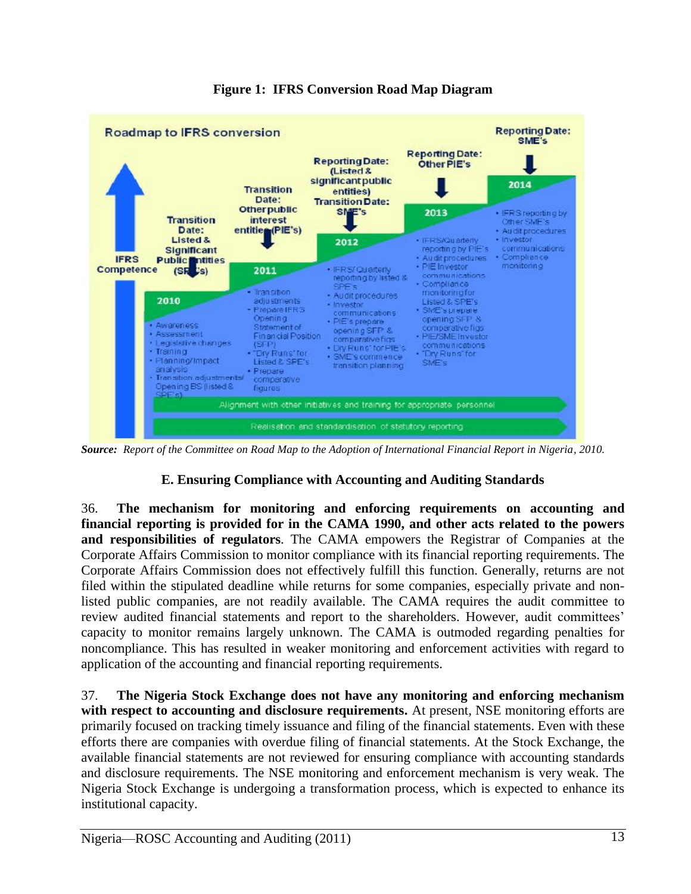

**Figure 1: IFRS Conversion Road Map Diagram**

*Source: Report of the Committee on Road Map to the Adoption of International Financial Report in Nigeria, 2010.*

## **E. Ensuring Compliance with Accounting and Auditing Standards**

36. **The mechanism for monitoring and enforcing requirements on accounting and financial reporting is provided for in the CAMA 1990, and other acts related to the powers and responsibilities of regulators**. The CAMA empowers the Registrar of Companies at the Corporate Affairs Commission to monitor compliance with its financial reporting requirements. The Corporate Affairs Commission does not effectively fulfill this function. Generally, returns are not filed within the stipulated deadline while returns for some companies, especially private and nonlisted public companies, are not readily available. The CAMA requires the audit committee to review audited financial statements and report to the shareholders. However, audit committees' capacity to monitor remains largely unknown. The CAMA is outmoded regarding penalties for noncompliance. This has resulted in weaker monitoring and enforcement activities with regard to application of the accounting and financial reporting requirements.

37. **The Nigeria Stock Exchange does not have any monitoring and enforcing mechanism with respect to accounting and disclosure requirements.** At present, NSE monitoring efforts are primarily focused on tracking timely issuance and filing of the financial statements. Even with these efforts there are companies with overdue filing of financial statements. At the Stock Exchange, the available financial statements are not reviewed for ensuring compliance with accounting standards and disclosure requirements. The NSE monitoring and enforcement mechanism is very weak. The Nigeria Stock Exchange is undergoing a transformation process, which is expected to enhance its institutional capacity.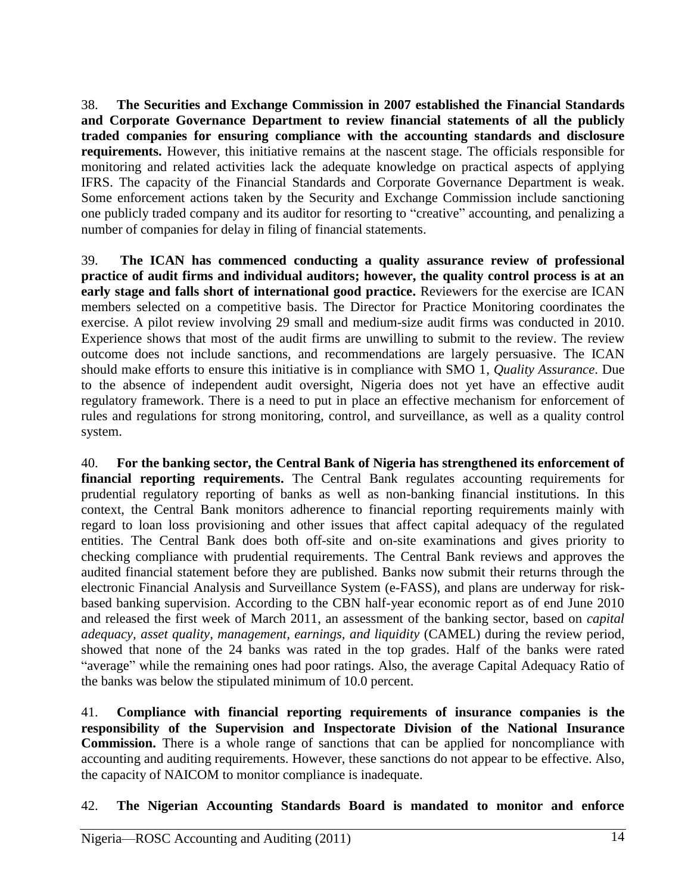38. **The Securities and Exchange Commission in 2007 established the Financial Standards and Corporate Governance Department to review financial statements of all the publicly traded companies for ensuring compliance with the accounting standards and disclosure requirements.** However, this initiative remains at the nascent stage. The officials responsible for monitoring and related activities lack the adequate knowledge on practical aspects of applying IFRS. The capacity of the Financial Standards and Corporate Governance Department is weak. Some enforcement actions taken by the Security and Exchange Commission include sanctioning one publicly traded company and its auditor for resorting to "creative" accounting, and penalizing a number of companies for delay in filing of financial statements.

39. **The ICAN has commenced conducting a quality assurance review of professional practice of audit firms and individual auditors; however, the quality control process is at an early stage and falls short of international good practice.** Reviewers for the exercise are ICAN members selected on a competitive basis. The Director for Practice Monitoring coordinates the exercise. A pilot review involving 29 small and medium-size audit firms was conducted in 2010. Experience shows that most of the audit firms are unwilling to submit to the review. The review outcome does not include sanctions, and recommendations are largely persuasive. The ICAN should make efforts to ensure this initiative is in compliance with SMO 1, *Quality Assurance*. Due to the absence of independent audit oversight, Nigeria does not yet have an effective audit regulatory framework. There is a need to put in place an effective mechanism for enforcement of rules and regulations for strong monitoring, control, and surveillance, as well as a quality control system.

40. **For the banking sector, the Central Bank of Nigeria has strengthened its enforcement of financial reporting requirements.** The Central Bank regulates accounting requirements for prudential regulatory reporting of banks as well as non-banking financial institutions. In this context, the Central Bank monitors adherence to financial reporting requirements mainly with regard to loan loss provisioning and other issues that affect capital adequacy of the regulated entities. The Central Bank does both off-site and on-site examinations and gives priority to checking compliance with prudential requirements. The Central Bank reviews and approves the audited financial statement before they are published. Banks now submit their returns through the electronic Financial Analysis and Surveillance System (e-FASS), and plans are underway for riskbased banking supervision. According to the CBN half-year economic report as of end June 2010 and released the first week of March 2011, an assessment of the banking sector, based on *capital adequacy, asset quality, management, earnings, and liquidity* (CAMEL) during the review period, showed that none of the 24 banks was rated in the top grades. Half of the banks were rated "average" while the remaining ones had poor ratings. Also, the average Capital Adequacy Ratio of the banks was below the stipulated minimum of 10.0 percent.

41. **Compliance with financial reporting requirements of insurance companies is the responsibility of the Supervision and Inspectorate Division of the National Insurance Commission.** There is a whole range of sanctions that can be applied for noncompliance with accounting and auditing requirements. However, these sanctions do not appear to be effective. Also, the capacity of NAICOM to monitor compliance is inadequate.

42. **The Nigerian Accounting Standards Board is mandated to monitor and enforce**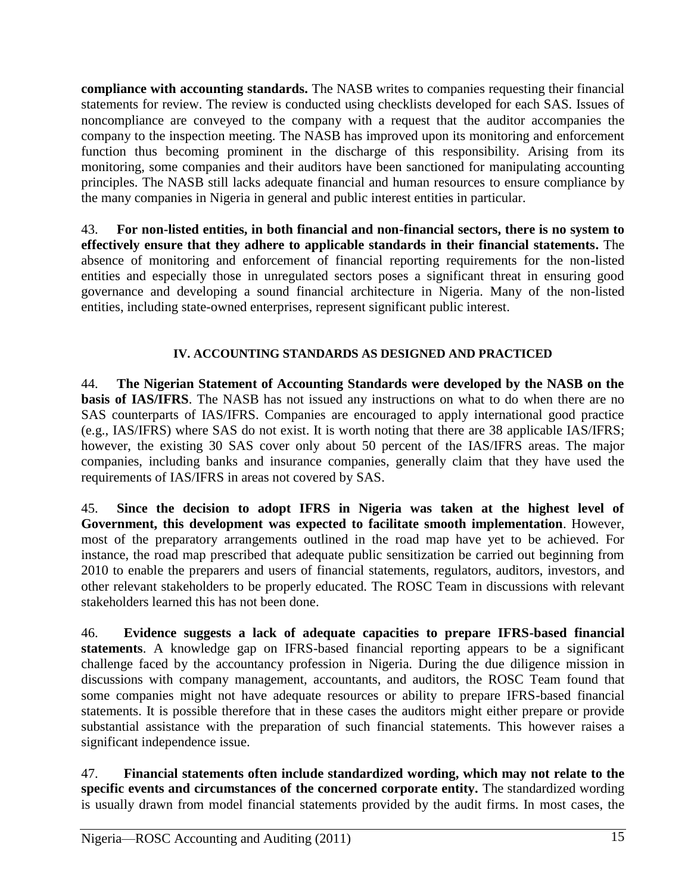**compliance with accounting standards.** The NASB writes to companies requesting their financial statements for review. The review is conducted using checklists developed for each SAS. Issues of noncompliance are conveyed to the company with a request that the auditor accompanies the company to the inspection meeting. The NASB has improved upon its monitoring and enforcement function thus becoming prominent in the discharge of this responsibility. Arising from its monitoring, some companies and their auditors have been sanctioned for manipulating accounting principles. The NASB still lacks adequate financial and human resources to ensure compliance by the many companies in Nigeria in general and public interest entities in particular.

43. **For non-listed entities, in both financial and non-financial sectors, there is no system to effectively ensure that they adhere to applicable standards in their financial statements.** The absence of monitoring and enforcement of financial reporting requirements for the non-listed entities and especially those in unregulated sectors poses a significant threat in ensuring good governance and developing a sound financial architecture in Nigeria. Many of the non-listed entities, including state-owned enterprises, represent significant public interest.

## **IV. ACCOUNTING STANDARDS AS DESIGNED AND PRACTICED**

44. **The Nigerian Statement of Accounting Standards were developed by the NASB on the basis of IAS/IFRS**. The NASB has not issued any instructions on what to do when there are no SAS counterparts of IAS/IFRS. Companies are encouraged to apply international good practice (e.g., IAS/IFRS) where SAS do not exist. It is worth noting that there are 38 applicable IAS/IFRS; however, the existing 30 SAS cover only about 50 percent of the IAS/IFRS areas. The major companies, including banks and insurance companies, generally claim that they have used the requirements of IAS/IFRS in areas not covered by SAS.

45. **Since the decision to adopt IFRS in Nigeria was taken at the highest level of Government, this development was expected to facilitate smooth implementation**. However, most of the preparatory arrangements outlined in the road map have yet to be achieved. For instance, the road map prescribed that adequate public sensitization be carried out beginning from 2010 to enable the preparers and users of financial statements, regulators, auditors, investors, and other relevant stakeholders to be properly educated. The ROSC Team in discussions with relevant stakeholders learned this has not been done.

46. **Evidence suggests a lack of adequate capacities to prepare IFRS-based financial statements**. A knowledge gap on IFRS-based financial reporting appears to be a significant challenge faced by the accountancy profession in Nigeria. During the due diligence mission in discussions with company management, accountants, and auditors, the ROSC Team found that some companies might not have adequate resources or ability to prepare IFRS-based financial statements. It is possible therefore that in these cases the auditors might either prepare or provide substantial assistance with the preparation of such financial statements. This however raises a significant independence issue.

47. **Financial statements often include standardized wording, which may not relate to the specific events and circumstances of the concerned corporate entity.** The standardized wording is usually drawn from model financial statements provided by the audit firms. In most cases, the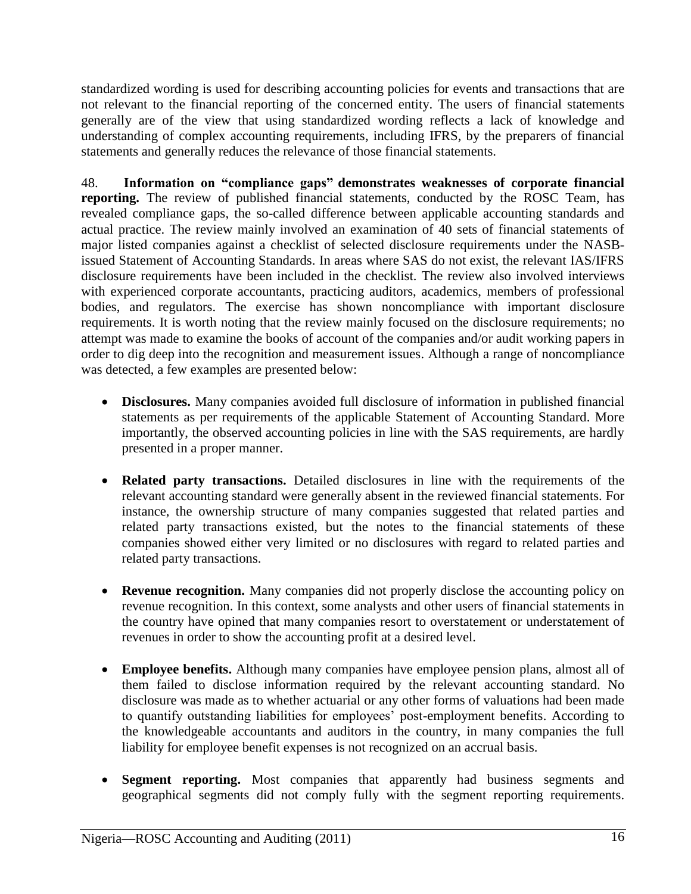standardized wording is used for describing accounting policies for events and transactions that are not relevant to the financial reporting of the concerned entity. The users of financial statements generally are of the view that using standardized wording reflects a lack of knowledge and understanding of complex accounting requirements, including IFRS, by the preparers of financial statements and generally reduces the relevance of those financial statements.

48. **Information on "compliance gaps" demonstrates weaknesses of corporate financial reporting.** The review of published financial statements, conducted by the ROSC Team, has revealed compliance gaps, the so-called difference between applicable accounting standards and actual practice. The review mainly involved an examination of 40 sets of financial statements of major listed companies against a checklist of selected disclosure requirements under the NASBissued Statement of Accounting Standards. In areas where SAS do not exist, the relevant IAS/IFRS disclosure requirements have been included in the checklist. The review also involved interviews with experienced corporate accountants, practicing auditors, academics, members of professional bodies, and regulators. The exercise has shown noncompliance with important disclosure requirements. It is worth noting that the review mainly focused on the disclosure requirements; no attempt was made to examine the books of account of the companies and/or audit working papers in order to dig deep into the recognition and measurement issues. Although a range of noncompliance was detected, a few examples are presented below:

- **Disclosures.** Many companies avoided full disclosure of information in published financial statements as per requirements of the applicable Statement of Accounting Standard. More importantly, the observed accounting policies in line with the SAS requirements, are hardly presented in a proper manner.
- **Related party transactions.** Detailed disclosures in line with the requirements of the relevant accounting standard were generally absent in the reviewed financial statements. For instance, the ownership structure of many companies suggested that related parties and related party transactions existed, but the notes to the financial statements of these companies showed either very limited or no disclosures with regard to related parties and related party transactions.
- **Revenue recognition.** Many companies did not properly disclose the accounting policy on revenue recognition. In this context, some analysts and other users of financial statements in the country have opined that many companies resort to overstatement or understatement of revenues in order to show the accounting profit at a desired level.
- **Employee benefits.** Although many companies have employee pension plans, almost all of them failed to disclose information required by the relevant accounting standard. No disclosure was made as to whether actuarial or any other forms of valuations had been made to quantify outstanding liabilities for employees' post-employment benefits. According to the knowledgeable accountants and auditors in the country, in many companies the full liability for employee benefit expenses is not recognized on an accrual basis.
- **Segment reporting.** Most companies that apparently had business segments and geographical segments did not comply fully with the segment reporting requirements.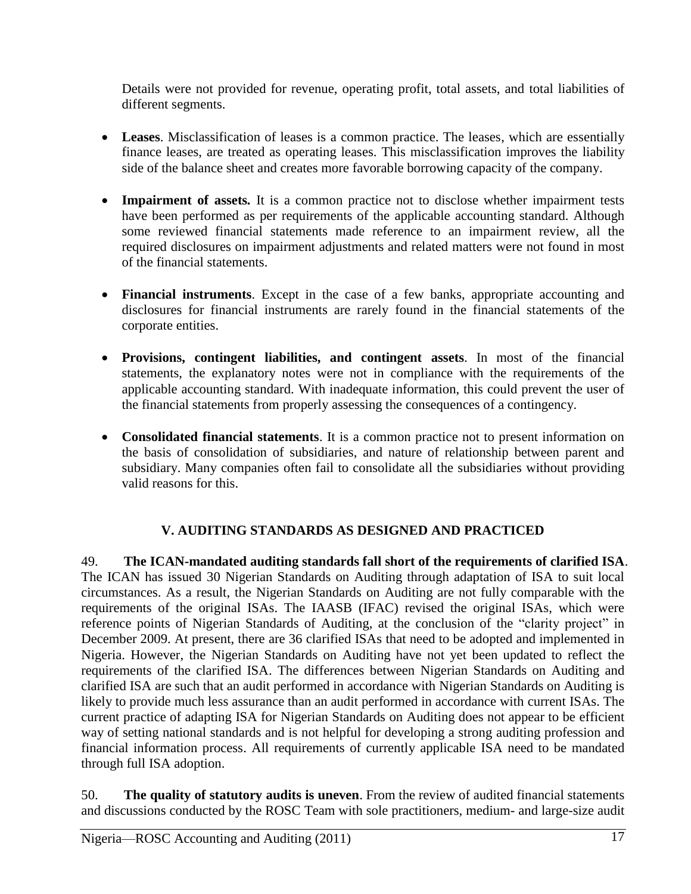Details were not provided for revenue, operating profit, total assets, and total liabilities of different segments.

- **Leases**. Misclassification of leases is a common practice. The leases, which are essentially finance leases, are treated as operating leases. This misclassification improves the liability side of the balance sheet and creates more favorable borrowing capacity of the company.
- **Impairment of assets***.* It is a common practice not to disclose whether impairment tests have been performed as per requirements of the applicable accounting standard. Although some reviewed financial statements made reference to an impairment review, all the required disclosures on impairment adjustments and related matters were not found in most of the financial statements.
- **Financial instruments**. Except in the case of a few banks, appropriate accounting and disclosures for financial instruments are rarely found in the financial statements of the corporate entities.
- **Provisions, contingent liabilities, and contingent assets**. In most of the financial statements, the explanatory notes were not in compliance with the requirements of the applicable accounting standard. With inadequate information, this could prevent the user of the financial statements from properly assessing the consequences of a contingency.
- **Consolidated financial statements**. It is a common practice not to present information on the basis of consolidation of subsidiaries, and nature of relationship between parent and subsidiary. Many companies often fail to consolidate all the subsidiaries without providing valid reasons for this.

# **V. AUDITING STANDARDS AS DESIGNED AND PRACTICED**

49. **The ICAN-mandated auditing standards fall short of the requirements of clarified ISA**. The ICAN has issued 30 Nigerian Standards on Auditing through adaptation of ISA to suit local circumstances. As a result, the Nigerian Standards on Auditing are not fully comparable with the requirements of the original ISAs. The IAASB (IFAC) revised the original ISAs, which were reference points of Nigerian Standards of Auditing, at the conclusion of the "clarity project" in December 2009. At present, there are 36 clarified ISAs that need to be adopted and implemented in Nigeria. However, the Nigerian Standards on Auditing have not yet been updated to reflect the requirements of the clarified ISA. The differences between Nigerian Standards on Auditing and clarified ISA are such that an audit performed in accordance with Nigerian Standards on Auditing is likely to provide much less assurance than an audit performed in accordance with current ISAs. The current practice of adapting ISA for Nigerian Standards on Auditing does not appear to be efficient way of setting national standards and is not helpful for developing a strong auditing profession and financial information process. All requirements of currently applicable ISA need to be mandated through full ISA adoption.

50. **The quality of statutory audits is uneven**. From the review of audited financial statements and discussions conducted by the ROSC Team with sole practitioners, medium- and large-size audit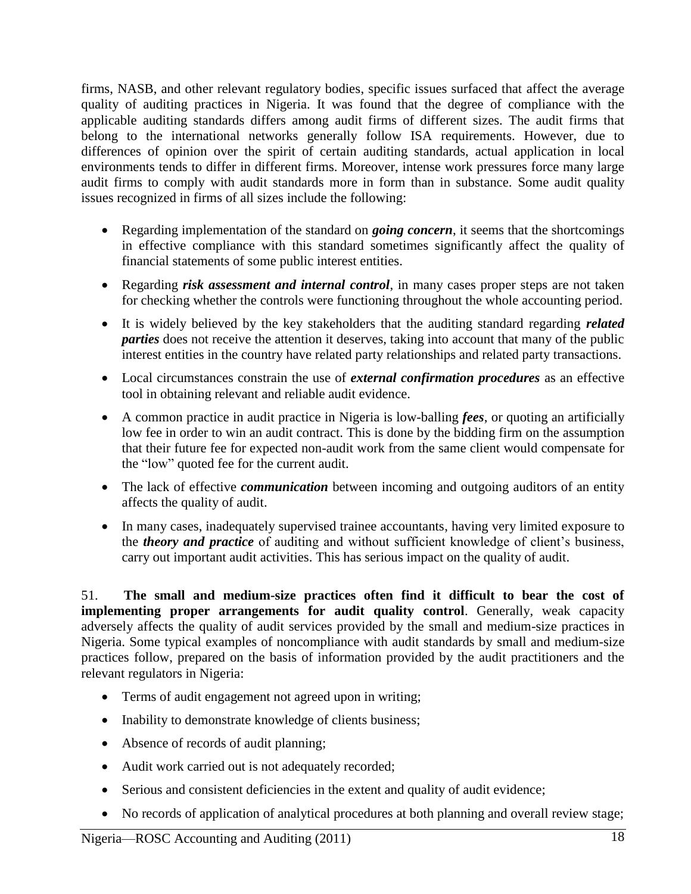firms, NASB, and other relevant regulatory bodies, specific issues surfaced that affect the average quality of auditing practices in Nigeria. It was found that the degree of compliance with the applicable auditing standards differs among audit firms of different sizes. The audit firms that belong to the international networks generally follow ISA requirements. However, due to differences of opinion over the spirit of certain auditing standards, actual application in local environments tends to differ in different firms. Moreover, intense work pressures force many large audit firms to comply with audit standards more in form than in substance. Some audit quality issues recognized in firms of all sizes include the following:

- Regarding implementation of the standard on *going concern*, it seems that the shortcomings in effective compliance with this standard sometimes significantly affect the quality of financial statements of some public interest entities.
- Regarding *risk assessment and internal control*, in many cases proper steps are not taken for checking whether the controls were functioning throughout the whole accounting period.
- It is widely believed by the key stakeholders that the auditing standard regarding *related parties* does not receive the attention it deserves, taking into account that many of the public interest entities in the country have related party relationships and related party transactions.
- Local circumstances constrain the use of *external confirmation procedures* as an effective tool in obtaining relevant and reliable audit evidence.
- A common practice in audit practice in Nigeria is low-balling *fees*, or quoting an artificially low fee in order to win an audit contract. This is done by the bidding firm on the assumption that their future fee for expected non-audit work from the same client would compensate for the "low" quoted fee for the current audit.
- The lack of effective *communication* between incoming and outgoing auditors of an entity affects the quality of audit.
- In many cases, inadequately supervised trainee accountants, having very limited exposure to the *theory and practice* of auditing and without sufficient knowledge of client's business, carry out important audit activities. This has serious impact on the quality of audit.

51. **The small and medium-size practices often find it difficult to bear the cost of implementing proper arrangements for audit quality control.** Generally, weak capacity adversely affects the quality of audit services provided by the small and medium-size practices in Nigeria. Some typical examples of noncompliance with audit standards by small and medium-size practices follow, prepared on the basis of information provided by the audit practitioners and the relevant regulators in Nigeria:

- Terms of audit engagement not agreed upon in writing;
- Inability to demonstrate knowledge of clients business;
- Absence of records of audit planning;
- Audit work carried out is not adequately recorded;
- Serious and consistent deficiencies in the extent and quality of audit evidence;
- No records of application of analytical procedures at both planning and overall review stage;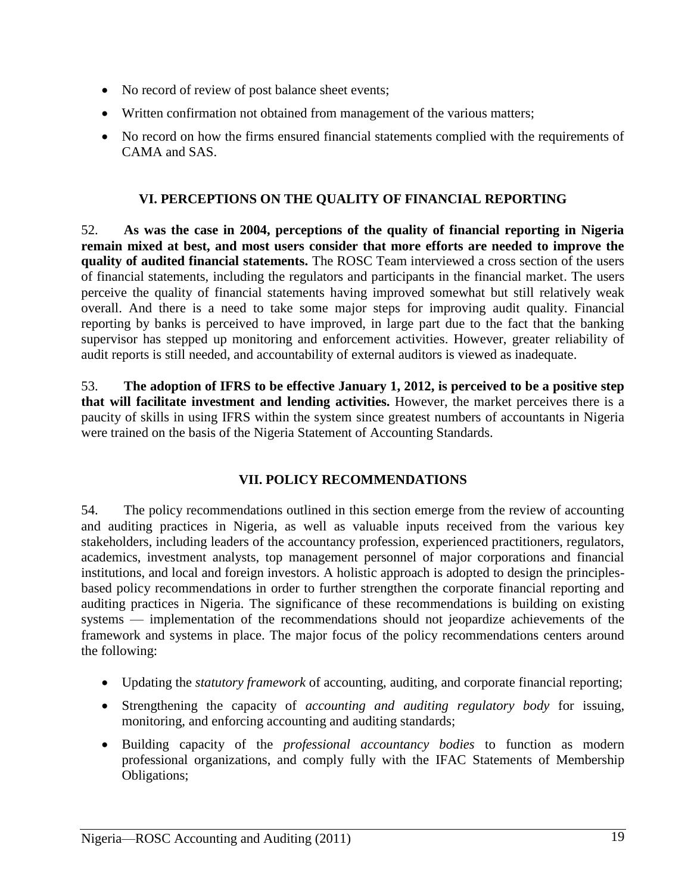- No record of review of post balance sheet events;
- Written confirmation not obtained from management of the various matters;
- No record on how the firms ensured financial statements complied with the requirements of CAMA and SAS.

### **VI. PERCEPTIONS ON THE QUALITY OF FINANCIAL REPORTING**

52. **As was the case in 2004, perceptions of the quality of financial reporting in Nigeria remain mixed at best, and most users consider that more efforts are needed to improve the quality of audited financial statements.** The ROSC Team interviewed a cross section of the users of financial statements, including the regulators and participants in the financial market. The users perceive the quality of financial statements having improved somewhat but still relatively weak overall. And there is a need to take some major steps for improving audit quality. Financial reporting by banks is perceived to have improved, in large part due to the fact that the banking supervisor has stepped up monitoring and enforcement activities. However, greater reliability of audit reports is still needed, and accountability of external auditors is viewed as inadequate.

53. **The adoption of IFRS to be effective January 1, 2012, is perceived to be a positive step that will facilitate investment and lending activities.** However, the market perceives there is a paucity of skills in using IFRS within the system since greatest numbers of accountants in Nigeria were trained on the basis of the Nigeria Statement of Accounting Standards.

## **VII. POLICY RECOMMENDATIONS**

54. The policy recommendations outlined in this section emerge from the review of accounting and auditing practices in Nigeria, as well as valuable inputs received from the various key stakeholders, including leaders of the accountancy profession, experienced practitioners, regulators, academics, investment analysts, top management personnel of major corporations and financial institutions, and local and foreign investors. A holistic approach is adopted to design the principlesbased policy recommendations in order to further strengthen the corporate financial reporting and auditing practices in Nigeria. The significance of these recommendations is building on existing systems — implementation of the recommendations should not jeopardize achievements of the framework and systems in place. The major focus of the policy recommendations centers around the following:

- Updating the *statutory framework* of accounting, auditing, and corporate financial reporting;
- Strengthening the capacity of *accounting and auditing regulatory body* for issuing, monitoring, and enforcing accounting and auditing standards;
- Building capacity of the *professional accountancy bodies* to function as modern professional organizations, and comply fully with the IFAC Statements of Membership Obligations;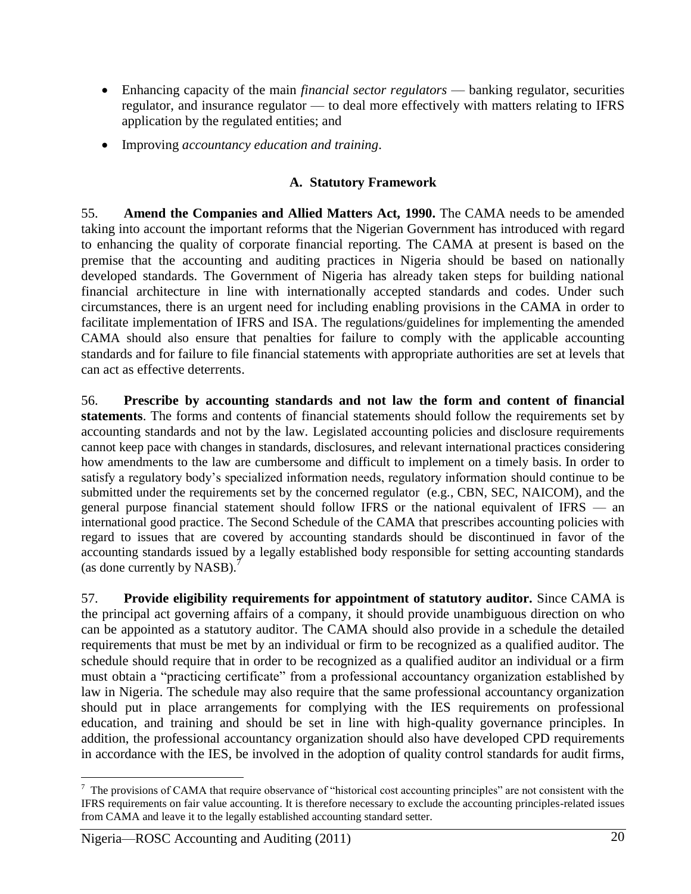- Enhancing capacity of the main *financial sector regulators* banking regulator, securities regulator, and insurance regulator — to deal more effectively with matters relating to IFRS application by the regulated entities; and
- Improving *accountancy education and training*.

## **A. Statutory Framework**

55. **Amend the Companies and Allied Matters Act***,* **1990.** The CAMA needs to be amended taking into account the important reforms that the Nigerian Government has introduced with regard to enhancing the quality of corporate financial reporting. The CAMA at present is based on the premise that the accounting and auditing practices in Nigeria should be based on nationally developed standards. The Government of Nigeria has already taken steps for building national financial architecture in line with internationally accepted standards and codes. Under such circumstances, there is an urgent need for including enabling provisions in the CAMA in order to facilitate implementation of IFRS and ISA. The regulations/guidelines for implementing the amended CAMA should also ensure that penalties for failure to comply with the applicable accounting standards and for failure to file financial statements with appropriate authorities are set at levels that can act as effective deterrents.

56. **Prescribe by accounting standards and not law the form and content of financial statements**. The forms and contents of financial statements should follow the requirements set by accounting standards and not by the law. Legislated accounting policies and disclosure requirements cannot keep pace with changes in standards, disclosures, and relevant international practices considering how amendments to the law are cumbersome and difficult to implement on a timely basis. In order to satisfy a regulatory body's specialized information needs, regulatory information should continue to be submitted under the requirements set by the concerned regulator (e.g., CBN, SEC, NAICOM), and the general purpose financial statement should follow IFRS or the national equivalent of IFRS — an international good practice. The Second Schedule of the CAMA that prescribes accounting policies with regard to issues that are covered by accounting standards should be discontinued in favor of the accounting standards issued by a legally established body responsible for setting accounting standards (as done currently by NASB).<sup>7</sup>

57. **Provide eligibility requirements for appointment of statutory auditor.** Since CAMA is the principal act governing affairs of a company, it should provide unambiguous direction on who can be appointed as a statutory auditor. The CAMA should also provide in a schedule the detailed requirements that must be met by an individual or firm to be recognized as a qualified auditor. The schedule should require that in order to be recognized as a qualified auditor an individual or a firm must obtain a "practicing certificate" from a professional accountancy organization established by law in Nigeria. The schedule may also require that the same professional accountancy organization should put in place arrangements for complying with the IES requirements on professional education, and training and should be set in line with high-quality governance principles. In addition, the professional accountancy organization should also have developed CPD requirements in accordance with the IES, be involved in the adoption of quality control standards for audit firms,

 $\overline{a}$  $<sup>7</sup>$  The provisions of CAMA that require observance of "historical cost accounting principles" are not consistent with the</sup> IFRS requirements on fair value accounting. It is therefore necessary to exclude the accounting principles-related issues from CAMA and leave it to the legally established accounting standard setter.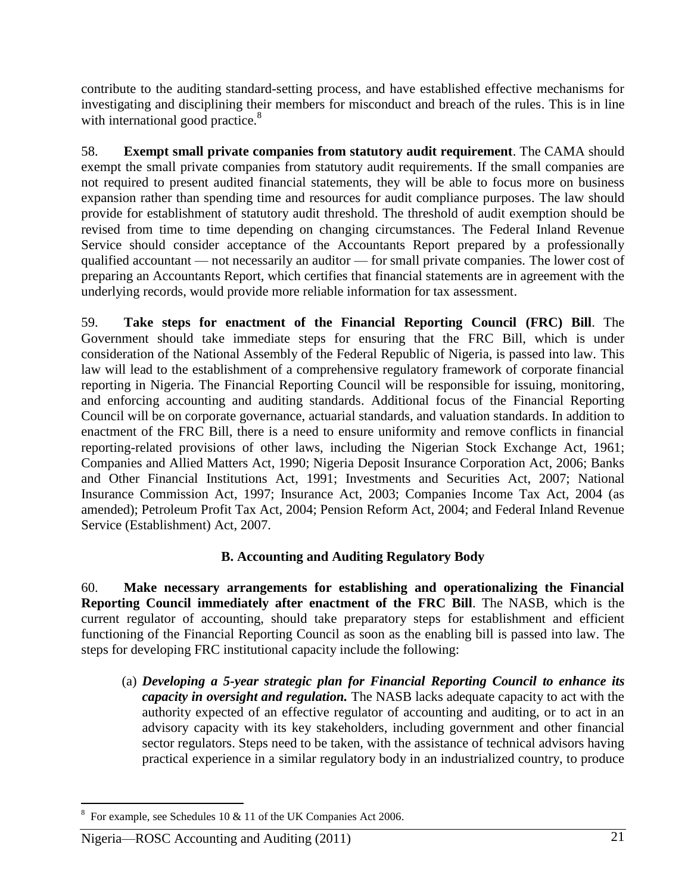contribute to the auditing standard-setting process, and have established effective mechanisms for investigating and disciplining their members for misconduct and breach of the rules. This is in line with international good practice.<sup>8</sup>

58. **Exempt small private companies from statutory audit requirement**. The CAMA should exempt the small private companies from statutory audit requirements. If the small companies are not required to present audited financial statements, they will be able to focus more on business expansion rather than spending time and resources for audit compliance purposes. The law should provide for establishment of statutory audit threshold. The threshold of audit exemption should be revised from time to time depending on changing circumstances. The Federal Inland Revenue Service should consider acceptance of the Accountants Report prepared by a professionally qualified accountant — not necessarily an auditor — for small private companies. The lower cost of preparing an Accountants Report, which certifies that financial statements are in agreement with the underlying records, would provide more reliable information for tax assessment.

59. **Take steps for enactment of the Financial Reporting Council (FRC) Bill**. The Government should take immediate steps for ensuring that the FRC Bill, which is under consideration of the National Assembly of the Federal Republic of Nigeria, is passed into law. This law will lead to the establishment of a comprehensive regulatory framework of corporate financial reporting in Nigeria. The Financial Reporting Council will be responsible for issuing, monitoring, and enforcing accounting and auditing standards. Additional focus of the Financial Reporting Council will be on corporate governance, actuarial standards, and valuation standards. In addition to enactment of the FRC Bill, there is a need to ensure uniformity and remove conflicts in financial reporting-related provisions of other laws, including the Nigerian Stock Exchange Act, 1961; Companies and Allied Matters Act, 1990; Nigeria Deposit Insurance Corporation Act, 2006; Banks and Other Financial Institutions Act, 1991; Investments and Securities Act, 2007; National Insurance Commission Act, 1997; Insurance Act, 2003; Companies Income Tax Act, 2004 (as amended); Petroleum Profit Tax Act, 2004; Pension Reform Act, 2004; and Federal Inland Revenue Service (Establishment) Act, 2007.

# **B. Accounting and Auditing Regulatory Body**

60. **Make necessary arrangements for establishing and operationalizing the Financial Reporting Council immediately after enactment of the FRC Bill**. The NASB, which is the current regulator of accounting, should take preparatory steps for establishment and efficient functioning of the Financial Reporting Council as soon as the enabling bill is passed into law. The steps for developing FRC institutional capacity include the following:

(a) *Developing a 5-year strategic plan for Financial Reporting Council to enhance its capacity in oversight and regulation.* The NASB lacks adequate capacity to act with the authority expected of an effective regulator of accounting and auditing, or to act in an advisory capacity with its key stakeholders, including government and other financial sector regulators. Steps need to be taken, with the assistance of technical advisors having practical experience in a similar regulatory body in an industrialized country, to produce

 8 For example, see Schedules 10 & 11 of the UK Companies Act 2006.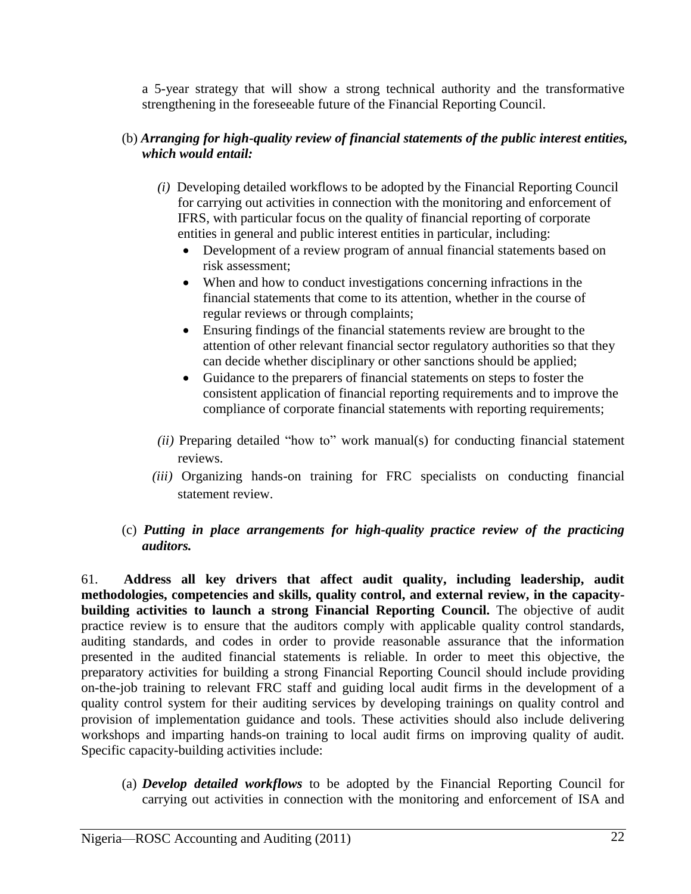a 5-year strategy that will show a strong technical authority and the transformative strengthening in the foreseeable future of the Financial Reporting Council.

## (b) *Arranging for high-quality review of financial statements of the public interest entities, which would entail:*

- *(i)* Developing detailed workflows to be adopted by the Financial Reporting Council for carrying out activities in connection with the monitoring and enforcement of IFRS, with particular focus on the quality of financial reporting of corporate entities in general and public interest entities in particular, including:
	- Development of a review program of annual financial statements based on risk assessment;
	- When and how to conduct investigations concerning infractions in the financial statements that come to its attention, whether in the course of regular reviews or through complaints;
	- Ensuring findings of the financial statements review are brought to the attention of other relevant financial sector regulatory authorities so that they can decide whether disciplinary or other sanctions should be applied;
	- Guidance to the preparers of financial statements on steps to foster the consistent application of financial reporting requirements and to improve the compliance of corporate financial statements with reporting requirements;
- $(ii)$  Preparing detailed "how to" work manual(s) for conducting financial statement reviews.
- *(iii)* Organizing hands-on training for FRC specialists on conducting financial statement review.
- (c) *Putting in place arrangements for high-quality practice review of the practicing auditors.*

61. **Address all key drivers that affect audit quality, including leadership, audit methodologies, competencies and skills, quality control, and external review, in the capacitybuilding activities to launch a strong Financial Reporting Council.** The objective of audit practice review is to ensure that the auditors comply with applicable quality control standards, auditing standards, and codes in order to provide reasonable assurance that the information presented in the audited financial statements is reliable. In order to meet this objective, the preparatory activities for building a strong Financial Reporting Council should include providing on-the-job training to relevant FRC staff and guiding local audit firms in the development of a quality control system for their auditing services by developing trainings on quality control and provision of implementation guidance and tools. These activities should also include delivering workshops and imparting hands-on training to local audit firms on improving quality of audit. Specific capacity-building activities include:

(a) *Develop detailed workflows* to be adopted by the Financial Reporting Council for carrying out activities in connection with the monitoring and enforcement of ISA and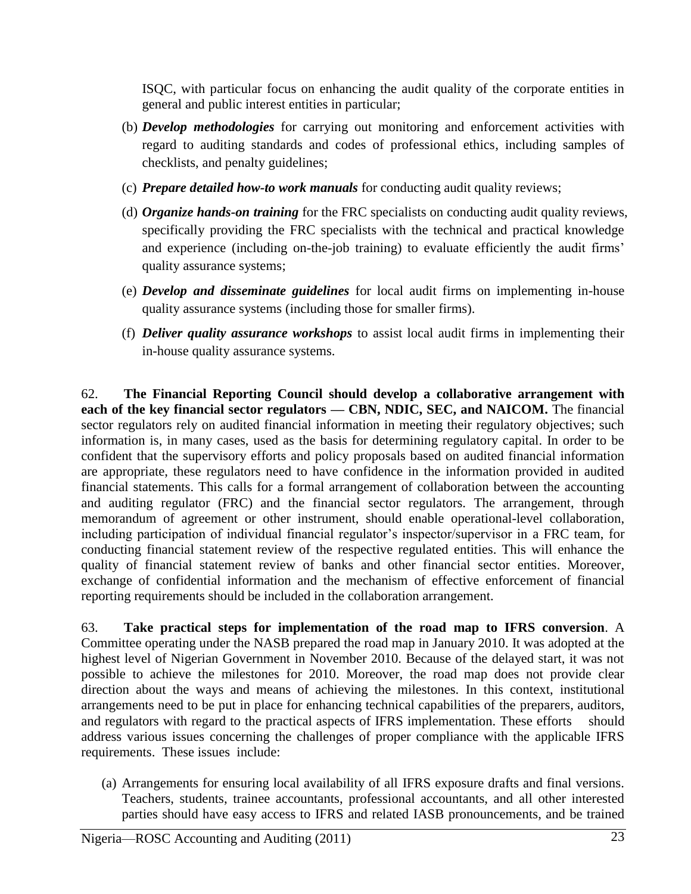ISQC, with particular focus on enhancing the audit quality of the corporate entities in general and public interest entities in particular;

- (b) *Develop methodologies* for carrying out monitoring and enforcement activities with regard to auditing standards and codes of professional ethics, including samples of checklists, and penalty guidelines;
- (c) *Prepare detailed how-to work manuals* for conducting audit quality reviews;
- (d) *Organize hands-on training* for the FRC specialists on conducting audit quality reviews, specifically providing the FRC specialists with the technical and practical knowledge and experience (including on-the-job training) to evaluate efficiently the audit firms' quality assurance systems;
- (e) *Develop and disseminate guidelines* for local audit firms on implementing in-house quality assurance systems (including those for smaller firms).
- (f) *Deliver quality assurance workshops* to assist local audit firms in implementing their in-house quality assurance systems.

62. **The Financial Reporting Council should develop a collaborative arrangement with each of the key financial sector regulators — CBN, NDIC, SEC, and NAICOM.** The financial sector regulators rely on audited financial information in meeting their regulatory objectives; such information is, in many cases, used as the basis for determining regulatory capital. In order to be confident that the supervisory efforts and policy proposals based on audited financial information are appropriate, these regulators need to have confidence in the information provided in audited financial statements. This calls for a formal arrangement of collaboration between the accounting and auditing regulator (FRC) and the financial sector regulators. The arrangement, through memorandum of agreement or other instrument, should enable operational-level collaboration, including participation of individual financial regulator's inspector/supervisor in a FRC team, for conducting financial statement review of the respective regulated entities. This will enhance the quality of financial statement review of banks and other financial sector entities. Moreover, exchange of confidential information and the mechanism of effective enforcement of financial reporting requirements should be included in the collaboration arrangement.

63. **Take practical steps for implementation of the road map to IFRS conversion**. A Committee operating under the NASB prepared the road map in January 2010. It was adopted at the highest level of Nigerian Government in November 2010. Because of the delayed start, it was not possible to achieve the milestones for 2010. Moreover, the road map does not provide clear direction about the ways and means of achieving the milestones. In this context, institutional arrangements need to be put in place for enhancing technical capabilities of the preparers, auditors, and regulators with regard to the practical aspects of IFRS implementation. These efforts should address various issues concerning the challenges of proper compliance with the applicable IFRS requirements. These issues include:

(a) Arrangements for ensuring local availability of all IFRS exposure drafts and final versions. Teachers, students, trainee accountants, professional accountants, and all other interested parties should have easy access to IFRS and related IASB pronouncements, and be trained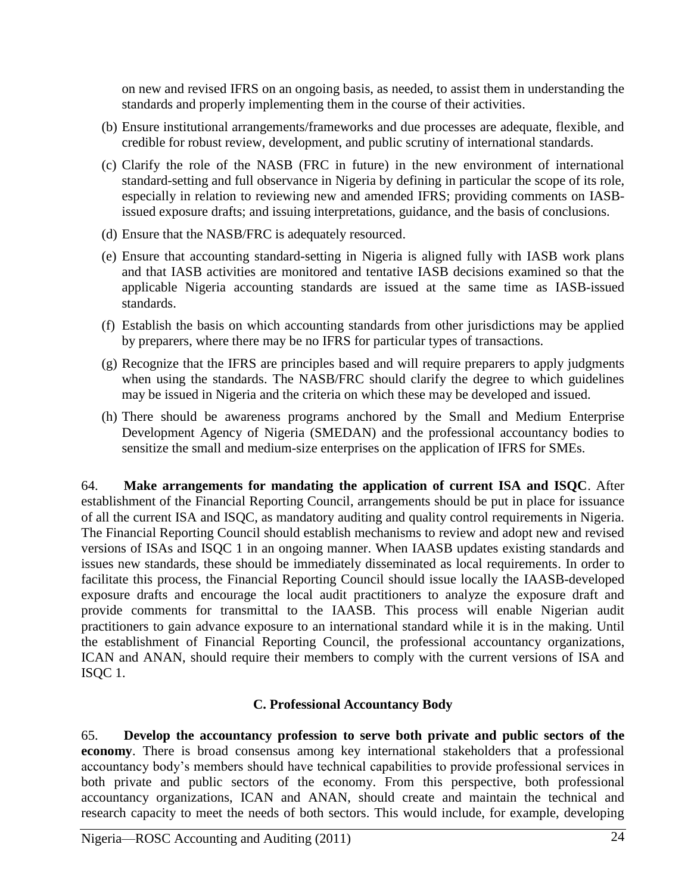on new and revised IFRS on an ongoing basis, as needed, to assist them in understanding the standards and properly implementing them in the course of their activities.

- (b) Ensure institutional arrangements/frameworks and due processes are adequate, flexible, and credible for robust review, development, and public scrutiny of international standards.
- (c) Clarify the role of the NASB (FRC in future) in the new environment of international standard-setting and full observance in Nigeria by defining in particular the scope of its role, especially in relation to reviewing new and amended IFRS; providing comments on IASBissued exposure drafts; and issuing interpretations, guidance, and the basis of conclusions.
- (d) Ensure that the NASB/FRC is adequately resourced.
- (e) Ensure that accounting standard-setting in Nigeria is aligned fully with IASB work plans and that IASB activities are monitored and tentative IASB decisions examined so that the applicable Nigeria accounting standards are issued at the same time as IASB-issued standards.
- (f) Establish the basis on which accounting standards from other jurisdictions may be applied by preparers, where there may be no IFRS for particular types of transactions.
- (g) Recognize that the IFRS are principles based and will require preparers to apply judgments when using the standards. The NASB/FRC should clarify the degree to which guidelines may be issued in Nigeria and the criteria on which these may be developed and issued.
- (h) There should be awareness programs anchored by the Small and Medium Enterprise Development Agency of Nigeria (SMEDAN) and the professional accountancy bodies to sensitize the small and medium-size enterprises on the application of IFRS for SMEs.

64. **Make arrangements for mandating the application of current ISA and ISQC**. After establishment of the Financial Reporting Council, arrangements should be put in place for issuance of all the current ISA and ISQC, as mandatory auditing and quality control requirements in Nigeria. The Financial Reporting Council should establish mechanisms to review and adopt new and revised versions of ISAs and ISQC 1 in an ongoing manner. When IAASB updates existing standards and issues new standards, these should be immediately disseminated as local requirements. In order to facilitate this process, the Financial Reporting Council should issue locally the IAASB-developed exposure drafts and encourage the local audit practitioners to analyze the exposure draft and provide comments for transmittal to the IAASB. This process will enable Nigerian audit practitioners to gain advance exposure to an international standard while it is in the making. Until the establishment of Financial Reporting Council, the professional accountancy organizations, ICAN and ANAN, should require their members to comply with the current versions of ISA and ISQC 1.

# **C. Professional Accountancy Body**

65. **Develop the accountancy profession to serve both private and public sectors of the economy**. There is broad consensus among key international stakeholders that a professional accountancy body's members should have technical capabilities to provide professional services in both private and public sectors of the economy. From this perspective, both professional accountancy organizations, ICAN and ANAN, should create and maintain the technical and research capacity to meet the needs of both sectors. This would include, for example, developing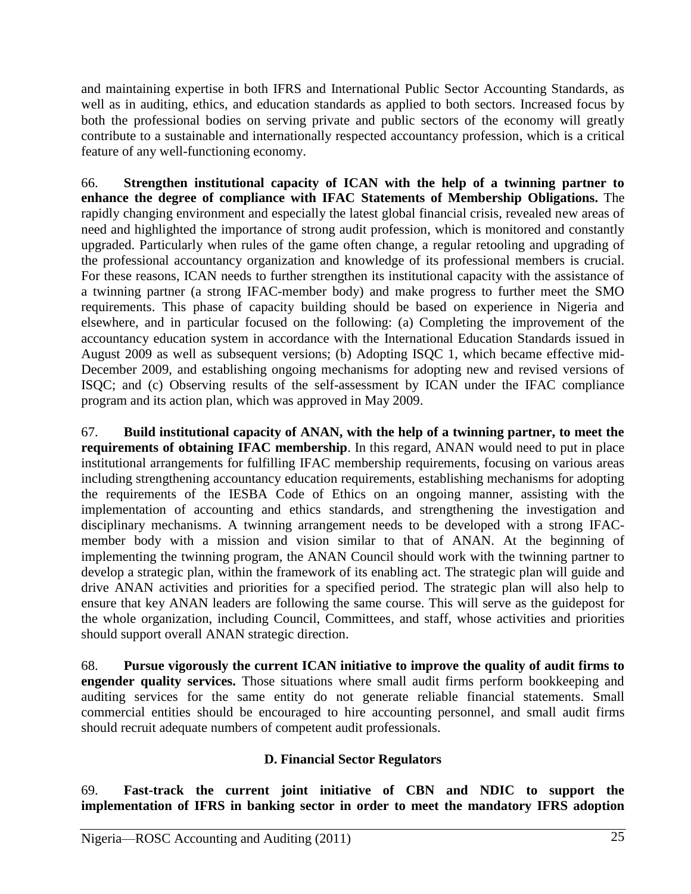and maintaining expertise in both IFRS and International Public Sector Accounting Standards, as well as in auditing, ethics, and education standards as applied to both sectors. Increased focus by both the professional bodies on serving private and public sectors of the economy will greatly contribute to a sustainable and internationally respected accountancy profession, which is a critical feature of any well-functioning economy.

66. **Strengthen institutional capacity of ICAN with the help of a twinning partner to enhance the degree of compliance with IFAC Statements of Membership Obligations.** The rapidly changing environment and especially the latest global financial crisis, revealed new areas of need and highlighted the importance of strong audit profession, which is monitored and constantly upgraded. Particularly when rules of the game often change, a regular retooling and upgrading of the professional accountancy organization and knowledge of its professional members is crucial. For these reasons, ICAN needs to further strengthen its institutional capacity with the assistance of a twinning partner (a strong IFAC-member body) and make progress to further meet the SMO requirements. This phase of capacity building should be based on experience in Nigeria and elsewhere, and in particular focused on the following: (a) Completing the improvement of the accountancy education system in accordance with the International Education Standards issued in August 2009 as well as subsequent versions; (b) Adopting ISQC 1, which became effective mid-December 2009, and establishing ongoing mechanisms for adopting new and revised versions of ISQC; and (c) Observing results of the self-assessment by ICAN under the IFAC compliance program and its action plan, which was approved in May 2009.

67. **Build institutional capacity of ANAN, with the help of a twinning partner, to meet the requirements of obtaining IFAC membership**. In this regard, ANAN would need to put in place institutional arrangements for fulfilling IFAC membership requirements, focusing on various areas including strengthening accountancy education requirements, establishing mechanisms for adopting the requirements of the IESBA Code of Ethics on an ongoing manner, assisting with the implementation of accounting and ethics standards, and strengthening the investigation and disciplinary mechanisms. A twinning arrangement needs to be developed with a strong IFACmember body with a mission and vision similar to that of ANAN. At the beginning of implementing the twinning program, the ANAN Council should work with the twinning partner to develop a strategic plan, within the framework of its enabling act. The strategic plan will guide and drive ANAN activities and priorities for a specified period. The strategic plan will also help to ensure that key ANAN leaders are following the same course. This will serve as the guidepost for the whole organization, including Council, Committees, and staff, whose activities and priorities should support overall ANAN strategic direction.

68. **Pursue vigorously the current ICAN initiative to improve the quality of audit firms to engender quality services.** Those situations where small audit firms perform bookkeeping and auditing services for the same entity do not generate reliable financial statements. Small commercial entities should be encouraged to hire accounting personnel, and small audit firms should recruit adequate numbers of competent audit professionals.

## **D. Financial Sector Regulators**

69. **Fast-track the current joint initiative of CBN and NDIC to support the implementation of IFRS in banking sector in order to meet the mandatory IFRS adoption**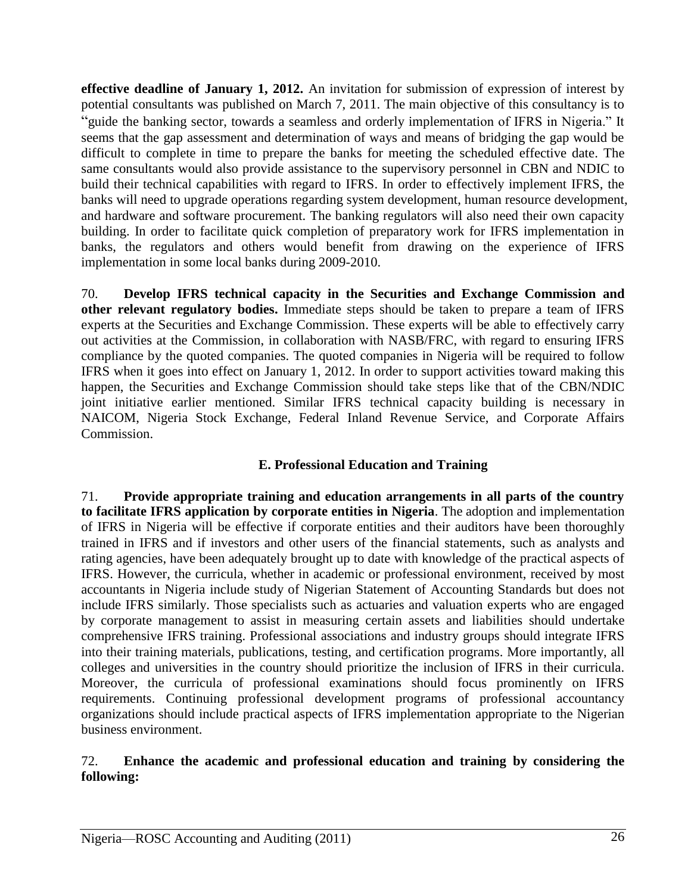**effective deadline of January 1, 2012.** An invitation for submission of expression of interest by potential consultants was published on March 7, 2011. The main objective of this consultancy is to "guide the banking sector, towards a seamless and orderly implementation of IFRS in Nigeria." It seems that the gap assessment and determination of ways and means of bridging the gap would be difficult to complete in time to prepare the banks for meeting the scheduled effective date. The same consultants would also provide assistance to the supervisory personnel in CBN and NDIC to build their technical capabilities with regard to IFRS. In order to effectively implement IFRS, the banks will need to upgrade operations regarding system development, human resource development, and hardware and software procurement. The banking regulators will also need their own capacity building. In order to facilitate quick completion of preparatory work for IFRS implementation in banks, the regulators and others would benefit from drawing on the experience of IFRS implementation in some local banks during 2009-2010.

70. **Develop IFRS technical capacity in the Securities and Exchange Commission and other relevant regulatory bodies.** Immediate steps should be taken to prepare a team of IFRS experts at the Securities and Exchange Commission. These experts will be able to effectively carry out activities at the Commission, in collaboration with NASB/FRC, with regard to ensuring IFRS compliance by the quoted companies. The quoted companies in Nigeria will be required to follow IFRS when it goes into effect on January 1, 2012. In order to support activities toward making this happen, the Securities and Exchange Commission should take steps like that of the CBN/NDIC joint initiative earlier mentioned. Similar IFRS technical capacity building is necessary in NAICOM, Nigeria Stock Exchange, Federal Inland Revenue Service, and Corporate Affairs Commission.

## **E. Professional Education and Training**

71. **Provide appropriate training and education arrangements in all parts of the country to facilitate IFRS application by corporate entities in Nigeria**. The adoption and implementation of IFRS in Nigeria will be effective if corporate entities and their auditors have been thoroughly trained in IFRS and if investors and other users of the financial statements, such as analysts and rating agencies, have been adequately brought up to date with knowledge of the practical aspects of IFRS. However, the curricula, whether in academic or professional environment, received by most accountants in Nigeria include study of Nigerian Statement of Accounting Standards but does not include IFRS similarly. Those specialists such as actuaries and valuation experts who are engaged by corporate management to assist in measuring certain assets and liabilities should undertake comprehensive IFRS training. Professional associations and industry groups should integrate IFRS into their training materials, publications, testing, and certification programs. More importantly, all colleges and universities in the country should prioritize the inclusion of IFRS in their curricula. Moreover, the curricula of professional examinations should focus prominently on IFRS requirements. Continuing professional development programs of professional accountancy organizations should include practical aspects of IFRS implementation appropriate to the Nigerian business environment.

### 72. **Enhance the academic and professional education and training by considering the following:**